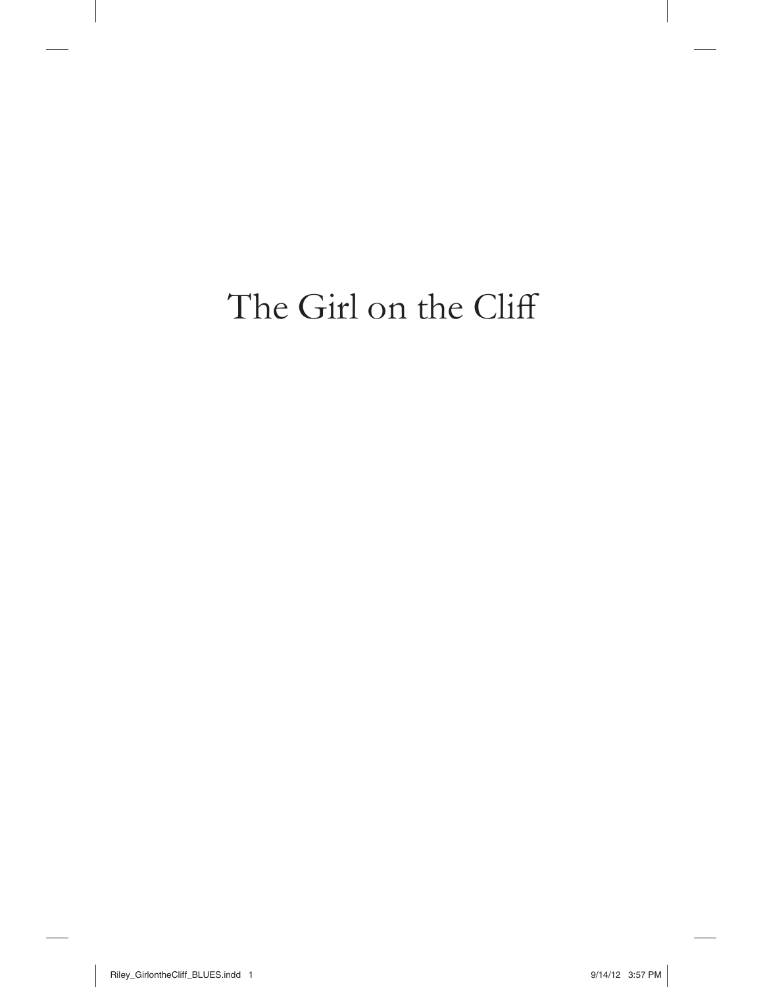# The Girl on the Cliff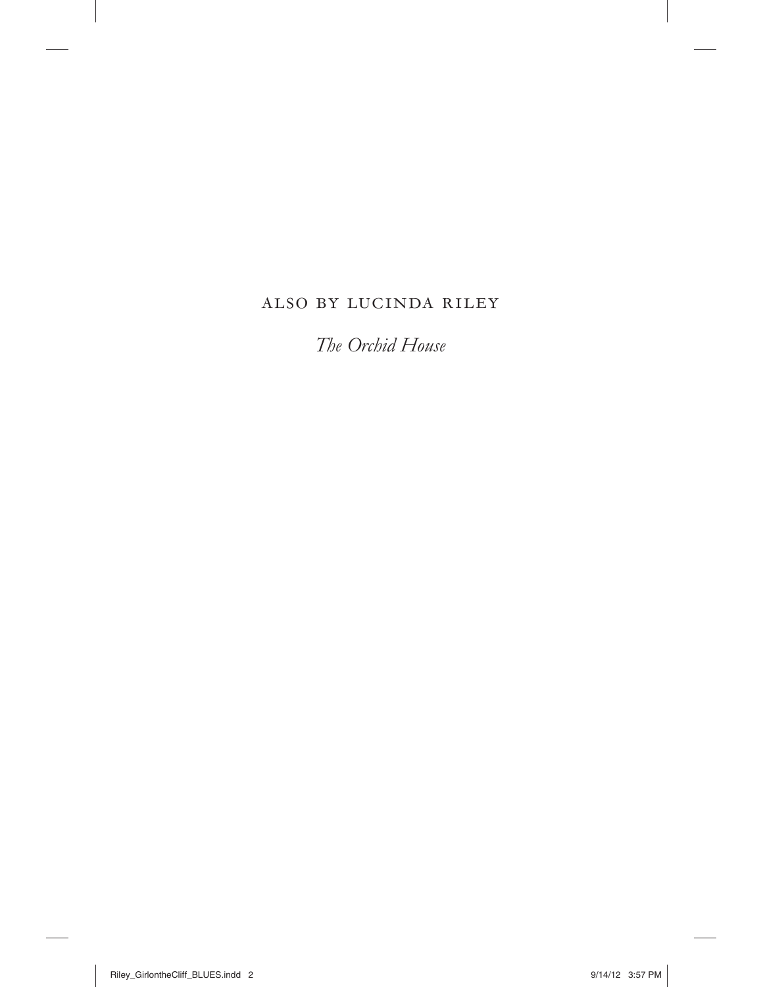### also by lucinda riley

*The Orchid House*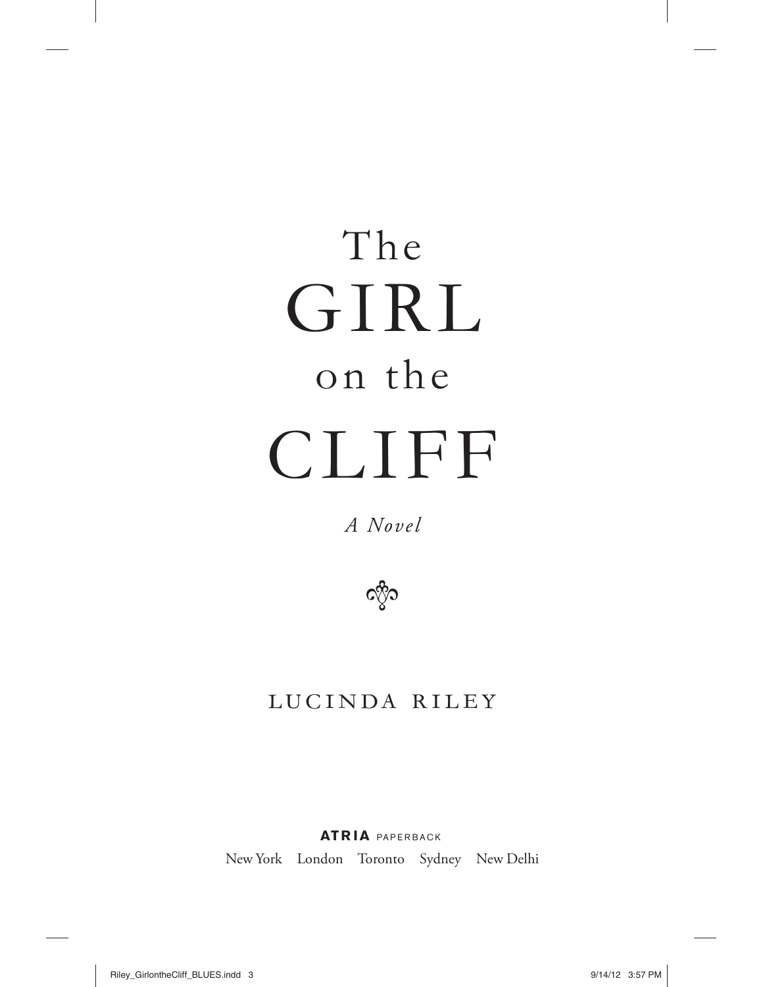# The GIRL on the CLIFF

*A Novel*



### lucinda riley

## **ATRIA** PAPERBACK

New York London Toronto Sydney New Delhi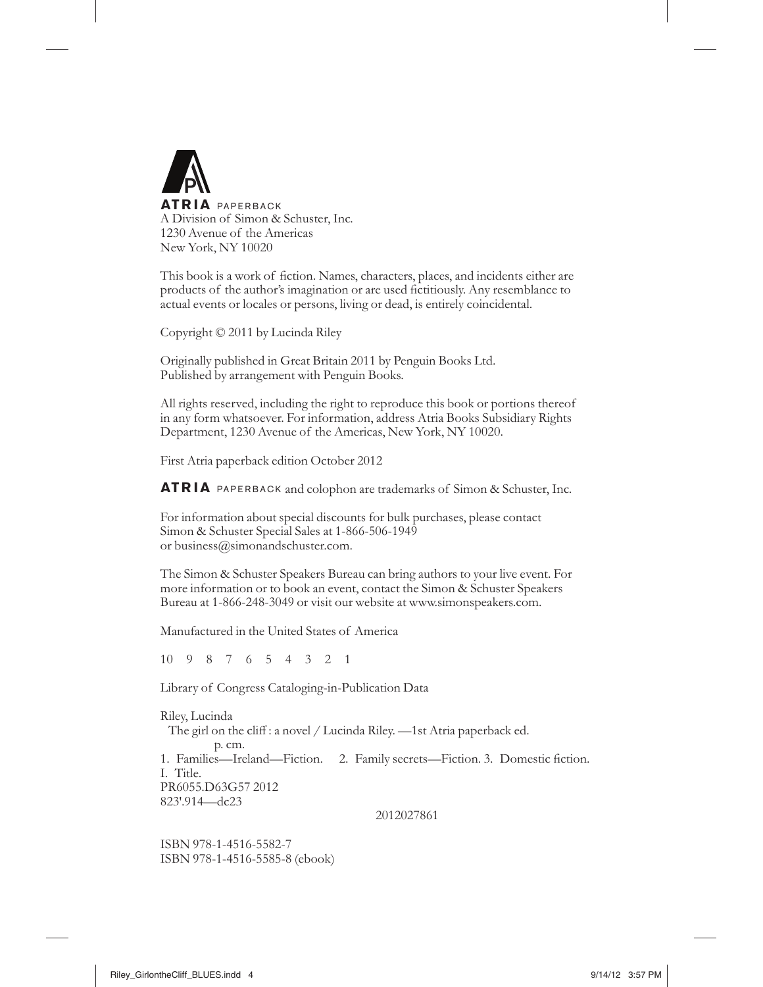

This book is a work of fiction. Names, characters, places, and incidents either are products of the author's imagination or are used fictitiously. Any resemblance to actual events or locales or persons, living or dead, is entirely coincidental.

Copyright © 2011 by Lucinda Riley

Originally published in Great Britain 2011 by Penguin Books Ltd. Published by arrangement with Penguin Books.

All rights reserved, including the right to reproduce this book or portions thereof in any form whatsoever. For information, address Atria Books Subsidiary Rights Department, 1230 Avenue of the Americas, New York, NY 10020.

First Atria paperback edition October 2012 P

**ATRIA** PAPERBACK and colophon are trademarks of Simon & Schuster, Inc.

For information about special discounts for bulk purchases, please contact Simon & Schuster Special Sales at 1-866-506-1949 or business@simonandschuster.com.

The Simon & Schuster Speakers Bureau can bring authors to your live event. For more information or to book an event, contact the Simon & Schuster Speakers Bureau at 1-866-248-3049 or visit our website at www.simonspeakers.com.

Manufactured in the United States of America

10 9 8 7 6 5 4 3 2 1

Library of Congress Cataloging-in-Publication Data

Riley, Lucinda The girl on the cliff : a novel / Lucinda Riley. —1st Atria paperback ed. p. cm. 1. Families—Ireland—Fiction. 2. Family secrets—Fiction. 3. Domestic fiction. I. Title. PR6055.D63G57 2012 823'.914—dc23

2012027861

ISBN 978-1-4516-5582-7 ISBN 978-1-4516-5585-8 (ebook)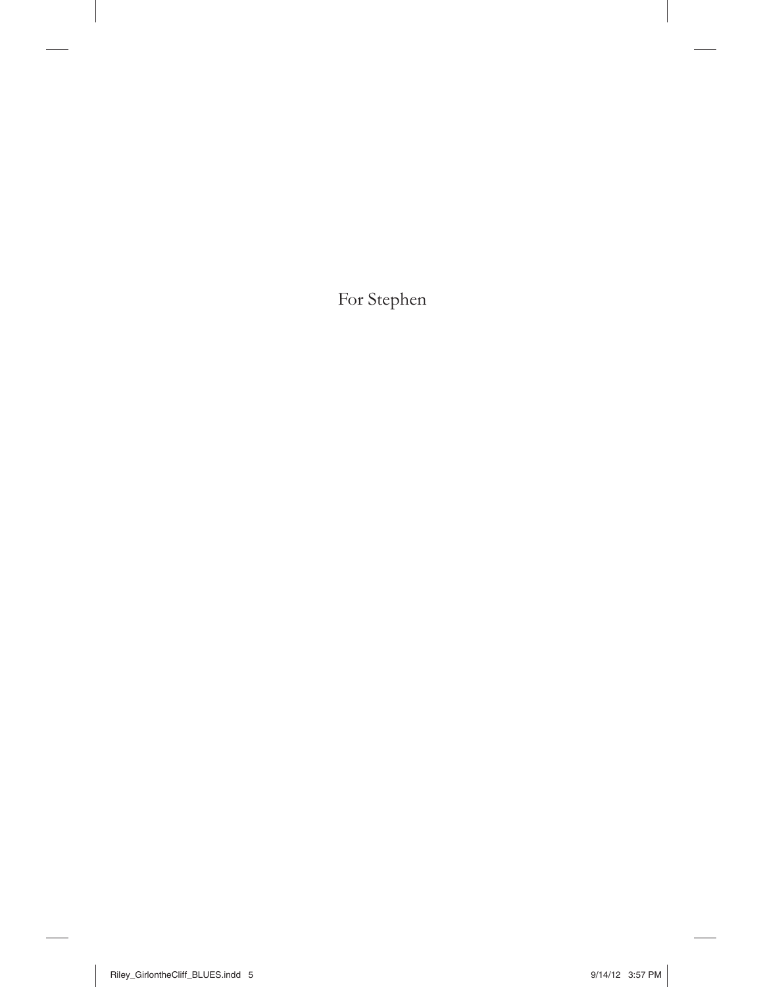For Stephen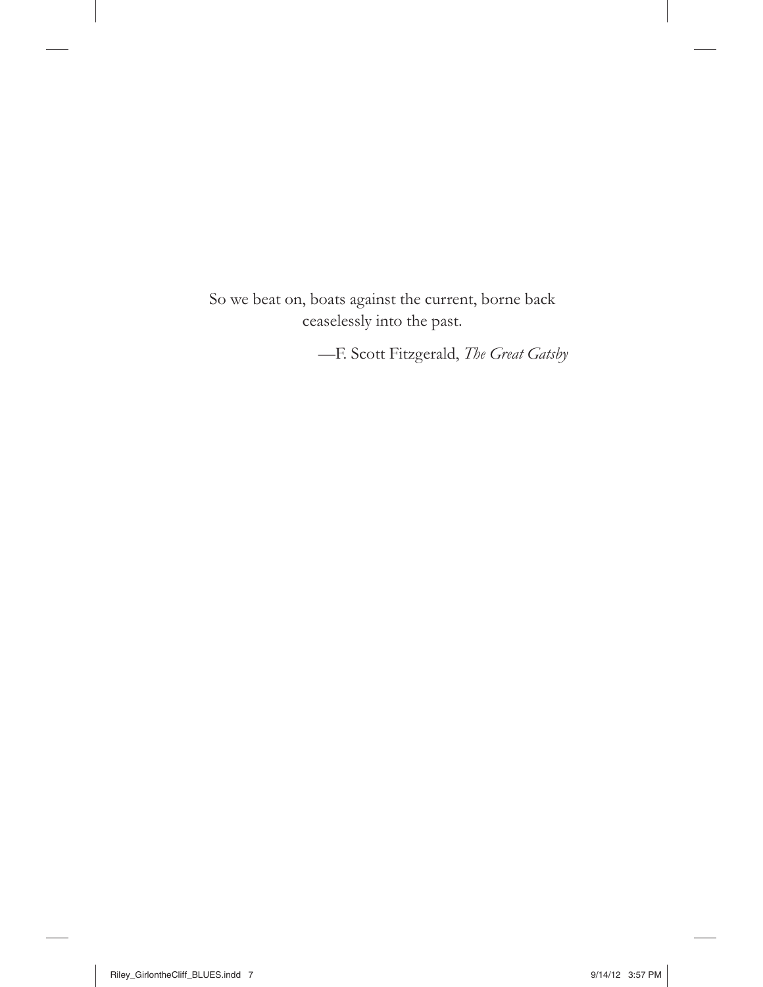So we beat on, boats against the current, borne back ceaselessly into the past.

—F. Scott Fitzgerald, *The Great Gatsby*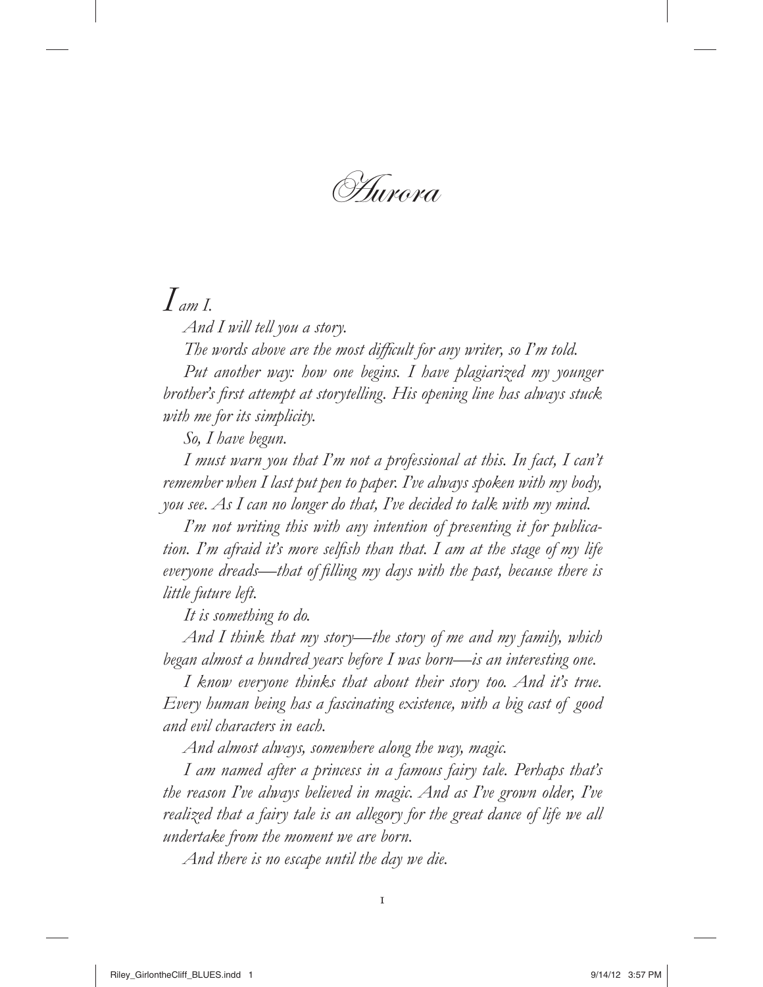

# *I am I.*

*And I will tell you a story.*

The words above are the most difficult for any writer, so I'm told.

*Put another way: how one begins. I have plagiarized my younger brother's first attempt at storytelling. His opening line has always stuck with me for its simplicity.*

*So, I have begun.*

*I must warn you that I'm not a professional at this. In fact, I can't remember when I last put pen to paper. I've always spoken with my body, you see. As I can no longer do that, I've decided to talk with my mind.*

*I'm not writing this with any intention of presenting it for publication. I'm afraid it's more selfish than that. I am at the stage of my life everyone dreads—that of filling my days with the past, because there is little future left.*

*It is something to do.*

*And I think that my story—the story of me and my family, which began almost a hundred years before I was born—is an interesting one.*

*I know everyone thinks that about their story too. And it's true. Every human being has a fascinating existence, with a big cast of good and evil characters in each.*

*And almost always, somewhere along the way, magic.*

*I am named after a princess in a famous fairy tale. Perhaps that's the reason I've always believed in magic. And as I've grown older, I've realized that a fairy tale is an allegory for the great dance of life we all undertake from the moment we are born.*

*And there is no escape until the day we die.*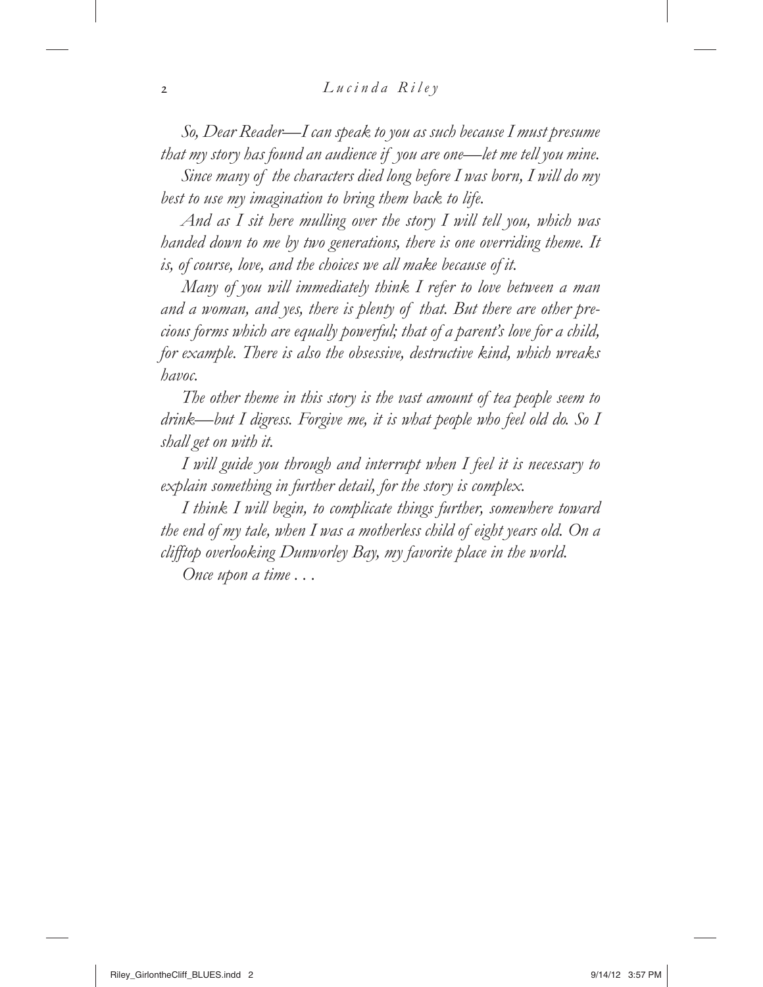2 *L u c i n d a R i l e y*

*So, Dear Reader—I can speak to you as such because I must presume that my story has found an audience if you are one—let me tell you mine.*

*Since many of the characters died long before I was born, I will do my best to use my imagination to bring them back to life.*

*And as I sit here mulling over the story I will tell you, which was handed down to me by two generations, there is one overriding theme. It is, of course, love, and the choices we all make because of it.*

*Many of you will immediately think I refer to love between a man and a woman, and yes, there is plenty of that. But there are other precious forms which are equally powerful; that of a parent's love for a child, for example. There is also the obsessive, destructive kind, which wreaks havoc.*

*The other theme in this story is the vast amount of tea people seem to drink—but I digress. Forgive me, it is what people who feel old do. So I shall get on with it.*

*I will guide you through and interrupt when I feel it is necessary to explain something in further detail, for the story is complex.*

*I think I will begin, to complicate things further, somewhere toward the end of my tale, when I was a motherless child of eight years old. On a cli#top overlooking Dunworley Bay, my favorite place in the world. Once upon a time . . .*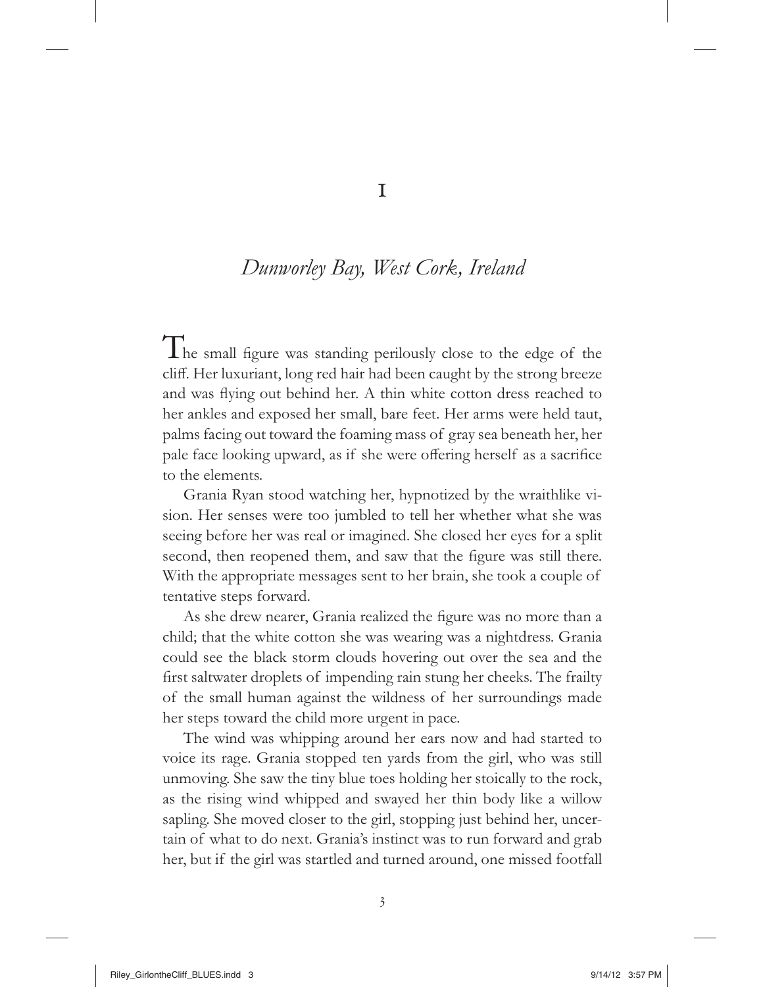### 1

### *Dunworley Bay, West Cork, Ireland*

The small figure was standing perilously close to the edge of the cliff. Her luxuriant, long red hair had been caught by the strong breeze and was flying out behind her. A thin white cotton dress reached to her ankles and exposed her small, bare feet. Her arms were held taut, palms facing out toward the foaming mass of gray sea beneath her, her pale face looking upward, as if she were offering herself as a sacrifice to the elements.

Grania Ryan stood watching her, hypnotized by the wraithlike vision. Her senses were too jumbled to tell her whether what she was seeing before her was real or imagined. She closed her eyes for a split second, then reopened them, and saw that the figure was still there. With the appropriate messages sent to her brain, she took a couple of tentative steps forward.

As she drew nearer, Grania realized the figure was no more than a child; that the white cotton she was wearing was a nightdress. Grania could see the black storm clouds hovering out over the sea and the first saltwater droplets of impending rain stung her cheeks. The frailty of the small human against the wildness of her surroundings made her steps toward the child more urgent in pace.

The wind was whipping around her ears now and had started to voice its rage. Grania stopped ten yards from the girl, who was still unmoving. She saw the tiny blue toes holding her stoically to the rock, as the rising wind whipped and swayed her thin body like a willow sapling. She moved closer to the girl, stopping just behind her, uncertain of what to do next. Grania's instinct was to run forward and grab her, but if the girl was startled and turned around, one missed footfall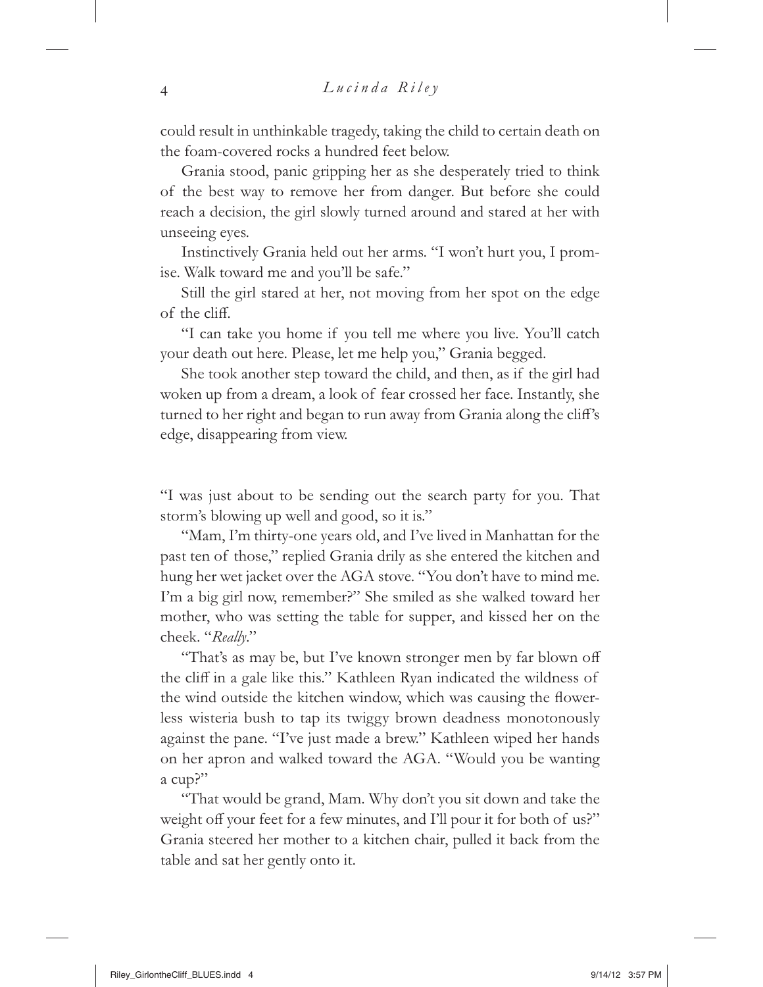could result in unthinkable tragedy, taking the child to certain death on the foam-covered rocks a hundred feet below.

Grania stood, panic gripping her as she desperately tried to think of the best way to remove her from danger. But before she could reach a decision, the girl slowly turned around and stared at her with unseeing eyes.

Instinctively Grania held out her arms. "I won't hurt you, I promise. Walk toward me and you'll be safe."

Still the girl stared at her, not moving from her spot on the edge of the cliff.

"I can take you home if you tell me where you live. You'll catch your death out here. Please, let me help you," Grania begged.

She took another step toward the child, and then, as if the girl had woken up from a dream, a look of fear crossed her face. Instantly, she turned to her right and began to run away from Grania along the cliff's edge, disappearing from view.

"I was just about to be sending out the search party for you. That storm's blowing up well and good, so it is."

"Mam, I'm thirty-one years old, and I've lived in Manhattan for the past ten of those," replied Grania drily as she entered the kitchen and hung her wet jacket over the AGA stove. " You don't have to mind me. I'm a big girl now, remember?" She smiled as she walked toward her mother, who was setting the table for supper, and kissed her on the cheek. "*Really*."

"That's as may be, but I've known stronger men by far blown off the cliff in a gale like this." Kathleen Ryan indicated the wildness of the wind outside the kitchen window, which was causing the flowerless wisteria bush to tap its twiggy brown deadness monotonously against the pane. "I've just made a brew." Kathleen wiped her hands on her apron and walked toward the AGA. " Would you be wanting a cup?"

"That would be grand, Mam. Why don't you sit down and take the weight off your feet for a few minutes, and I'll pour it for both of us?" Grania steered her mother to a kitchen chair, pulled it back from the table and sat her gently onto it.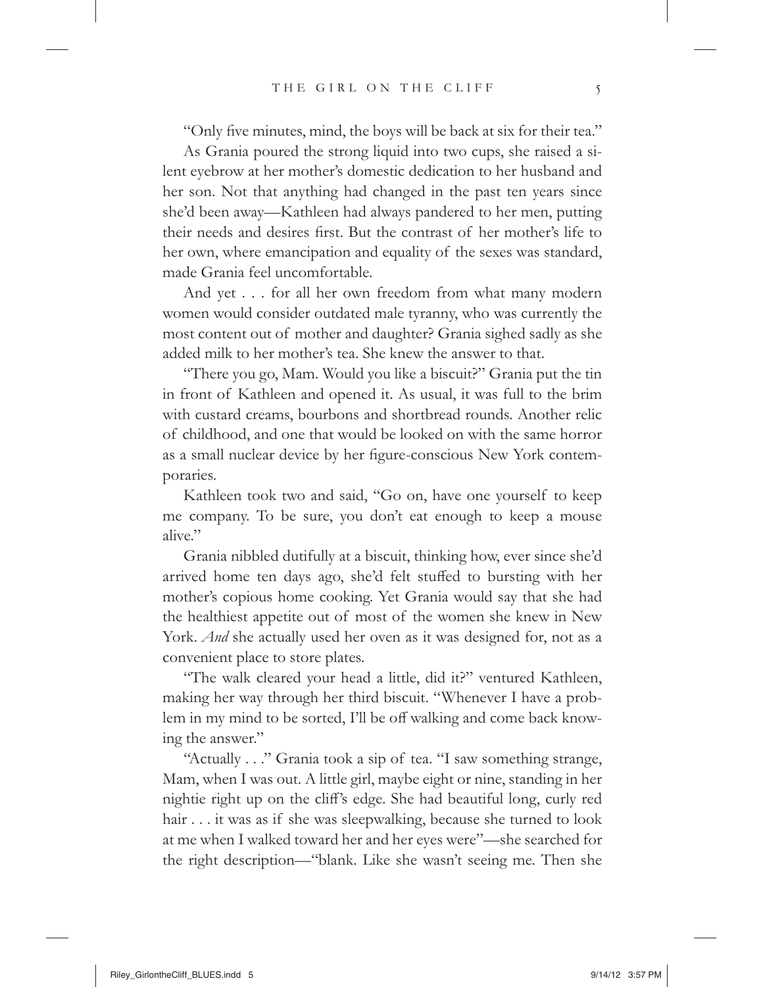"Only five minutes, mind, the boys will be back at six for their tea."

As Grania poured the strong liquid into two cups, she raised a silent eyebrow at her mother's domestic dedication to her husband and her son. Not that anything had changed in the past ten years since she'd been away—Kathleen had always pandered to her men, putting their needs and desires first. But the contrast of her mother's life to her own, where emancipation and equality of the sexes was standard, made Grania feel uncomfortable.

And yet . . . for all her own freedom from what many modern women would consider outdated male tyranny, who was currently the most content out of mother and daughter? Grania sighed sadly as she added milk to her mother's tea. She knew the answer to that.

"There you go, Mam. Would you like a biscuit?" Grania put the tin in front of Kathleen and opened it. As usual, it was full to the brim with custard creams, bourbons and shortbread rounds. Another relic of childhood, and one that would be looked on with the same horror as a small nuclear device by her figure-conscious New York contemporaries.

Kathleen took two and said, "Go on, have one yourself to keep me company. To be sure, you don't eat enough to keep a mouse alive."

Grania nibbled dutifully at a biscuit, thinking how, ever since she'd arrived home ten days ago, she'd felt stuffed to bursting with her mother's copious home cooking. Yet Grania would say that she had the healthiest appetite out of most of the women she knew in New York. *And* she actually used her oven as it was designed for, not as a convenient place to store plates.

"The walk cleared your head a little, did it?" ventured Kathleen, making her way through her third biscuit. " Whenever I have a problem in my mind to be sorted, I'll be off walking and come back knowing the answer."

"Actually . . ." Grania took a sip of tea. "I saw something strange, Mam, when I was out. A little girl, maybe eight or nine, standing in her nightie right up on the cliff's edge. She had beautiful long, curly red hair . . . it was as if she was sleepwalking, because she turned to look at me when I walked toward her and her eyes were"—she searched for the right description—"blank. Like she wasn't seeing me. Then she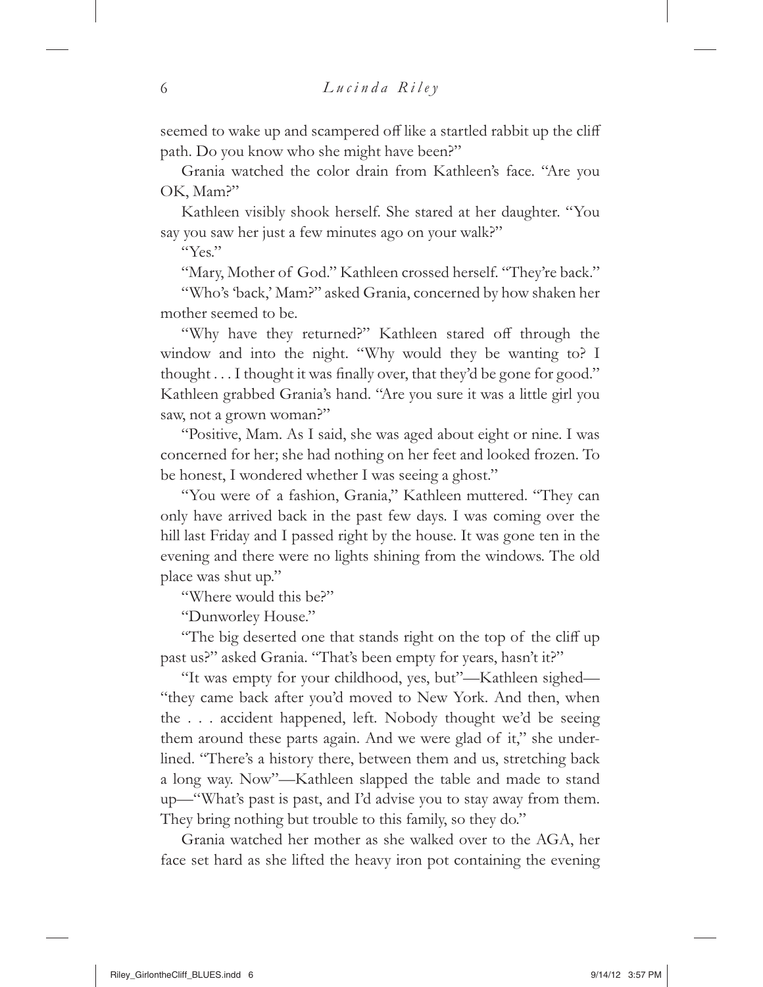seemed to wake up and scampered off like a startled rabbit up the cliff path. Do you know who she might have been?"

Grania watched the color drain from Kathleen's face. "Are you OK, Mam?"

Kathleen visibly shook herself. She stared at her daughter. " You say you saw her just a few minutes ago on your walk?"

"Yes."

"Mary, Mother of God." Kathleen crossed herself. "They're back."

" Who's 'back,' Mam?" asked Grania, concerned by how shaken her mother seemed to be.

"Why have they returned?" Kathleen stared off through the window and into the night. "Why would they be wanting to? I thought . . . I thought it was finally over, that they'd be gone for good." Kathleen grabbed Grania's hand. "Are you sure it was a little girl you saw, not a grown woman?"

"Positive, Mam. As I said, she was aged about eight or nine. I was concerned for her; she had nothing on her feet and looked frozen. To be honest, I wondered whether I was seeing a ghost."

" You were of a fashion, Grania," Kathleen muttered. "They can only have arrived back in the past few days. I was coming over the hill last Friday and I passed right by the house. It was gone ten in the evening and there were no lights shining from the windows. The old place was shut up."

"Where would this be?"

"Dunworley House."

"The big deserted one that stands right on the top of the cliff up past us?" asked Grania. "That's been empty for years, hasn't it?"

"It was empty for your childhood, yes, but"—Kathleen sighed— "they came back after you'd moved to New York. And then, when the . . . accident happened, left. Nobody thought we'd be seeing them around these parts again. And we were glad of it," she underlined. "There's a history there, between them and us, stretching back a long way. Now"—Kathleen slapped the table and made to stand up—" What's past is past, and I'd advise you to stay away from them. They bring nothing but trouble to this family, so they do."

Grania watched her mother as she walked over to the AGA, her face set hard as she lifted the heavy iron pot containing the evening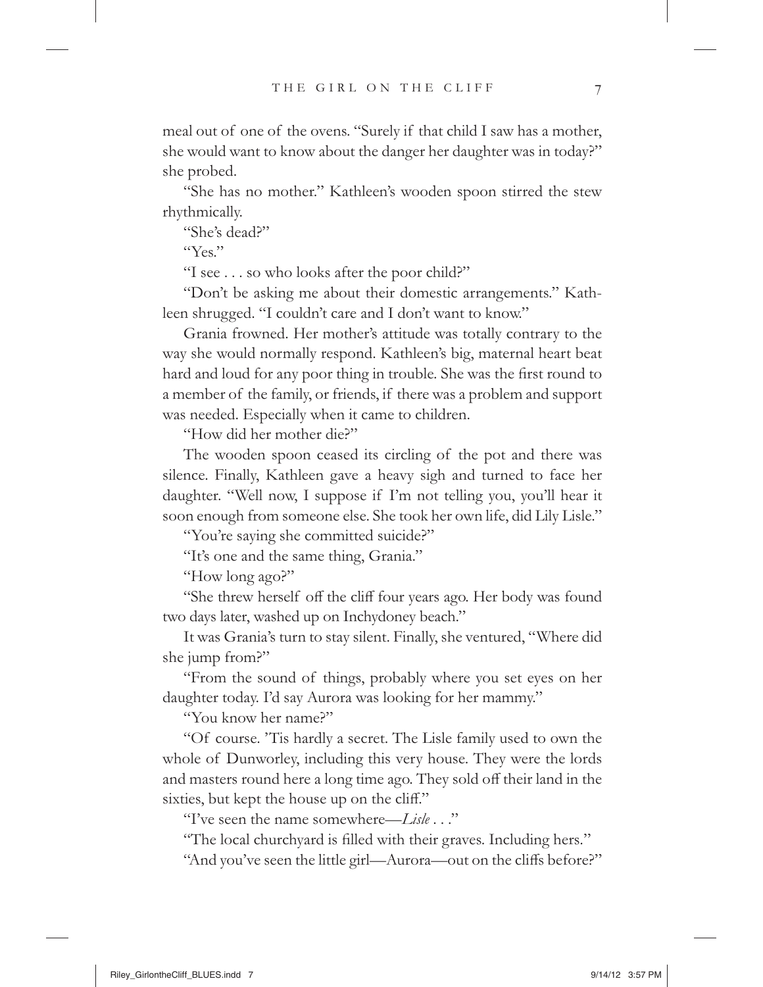meal out of one of the ovens. "Surely if that child I saw has a mother, she would want to know about the danger her daughter was in today?" she probed.

"She has no mother." Kathleen's wooden spoon stirred the stew rhythmically.

"She's dead?"

"Yes."

"I see . . . so who looks after the poor child?"

"Don't be asking me about their domestic arrangements." Kathleen shrugged. "I couldn't care and I don't want to know."

Grania frowned. Her mother's attitude was totally contrary to the way she would normally respond. Kathleen's big, maternal heart beat hard and loud for any poor thing in trouble. She was the first round to a member of the family, or friends, if there was a problem and support was needed. Especially when it came to children.

"How did her mother die?"

The wooden spoon ceased its circling of the pot and there was silence. Finally, Kathleen gave a heavy sigh and turned to face her daughter. " Well now, I suppose if I'm not telling you, you'll hear it soon enough from someone else. She took her own life, did Lily Lisle."

"You're saying she committed suicide?"

"It's one and the same thing, Grania."

"How long ago?"

"She threw herself off the cliff four years ago. Her body was found two days later, washed up on Inchydoney beach."

It was Grania's turn to stay silent. Finally, she ventured, " Where did she jump from?"

"From the sound of things, probably where you set eyes on her daughter today. I'd say Aurora was looking for her mammy."

"You know her name?"

"Of course. 'Tis hardly a secret. The Lisle family used to own the whole of Dunworley, including this very house. They were the lords and masters round here a long time ago. They sold off their land in the sixties, but kept the house up on the cliff."

"I've seen the name somewhere—*Lisle* . . ."

"The local churchyard is filled with their graves. Including hers*.*"

"And you've seen the little girl—Aurora—out on the cliffs before?"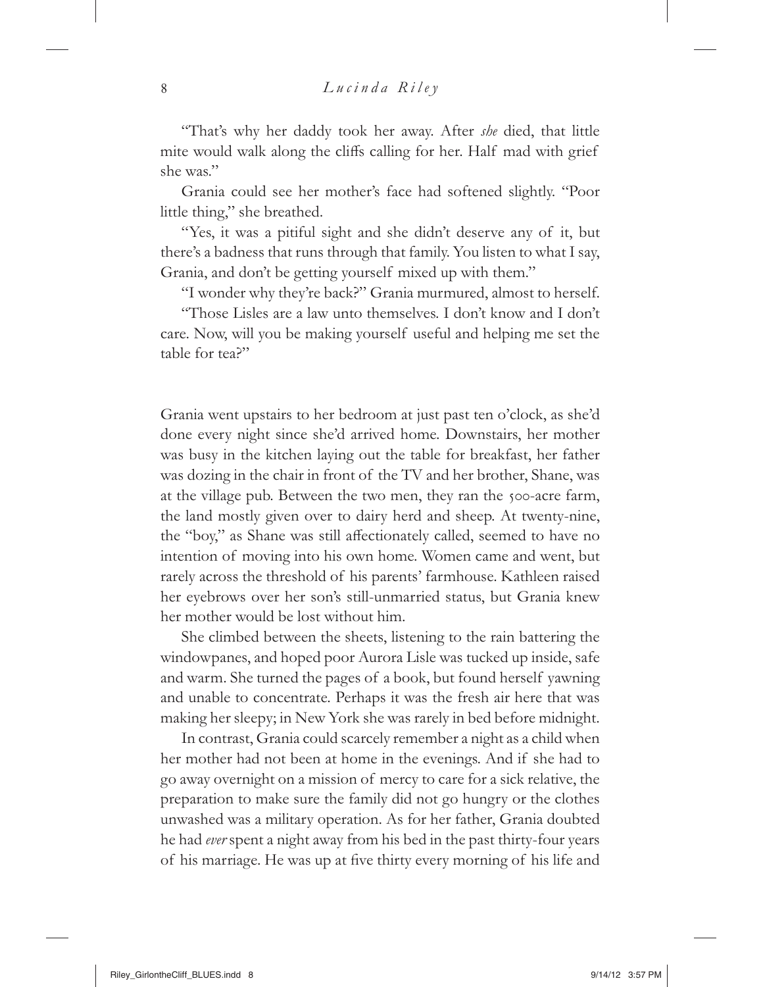8 *L u c i n d a R i l e y*

"That's why her daddy took her away. After *she* died, that little mite would walk along the cliffs calling for her. Half mad with grief she was."

Grania could see her mother's face had softened slightly. "Poor little thing," she breathed.

"Yes, it was a pitiful sight and she didn't deserve any of it, but there's a badness that runs through that family. You listen to what I say, Grania, and don't be getting yourself mixed up with them."

"I wonder why they're back?" Grania murmured, almost to herself.

"Those Lisles are a law unto themselves. I don't know and I don't care. Now, will you be making yourself useful and helping me set the table for tea?"

Grania went upstairs to her bedroom at just past ten o'clock, as she'd done every night since she'd arrived home. Downstairs, her mother was busy in the kitchen laying out the table for breakfast, her father was dozing in the chair in front of the TV and her brother, Shane, was at the village pub. Between the two men, they ran the 500-acre farm, the land mostly given over to dairy herd and sheep. At twenty-nine, the "boy," as Shane was still affectionately called, seemed to have no intention of moving into his own home. Women came and went, but rarely across the threshold of his parents' farmhouse. Kathleen raised her eyebrows over her son's still-unmarried status, but Grania knew her mother would be lost without him.

She climbed between the sheets, listening to the rain battering the windowpanes, and hoped poor Aurora Lisle was tucked up inside, safe and warm. She turned the pages of a book, but found herself yawning and unable to concentrate. Perhaps it was the fresh air here that was making her sleepy; in New York she was rarely in bed before midnight.

In contrast, Grania could scarcely remember a night as a child when her mother had not been at home in the evenings. And if she had to go away overnight on a mission of mercy to care for a sick relative, the preparation to make sure the family did not go hungry or the clothes unwashed was a military operation. As for her father, Grania doubted he had *ever* spent a night away from his bed in the past thirty-four years of his marriage. He was up at five thirty every morning of his life and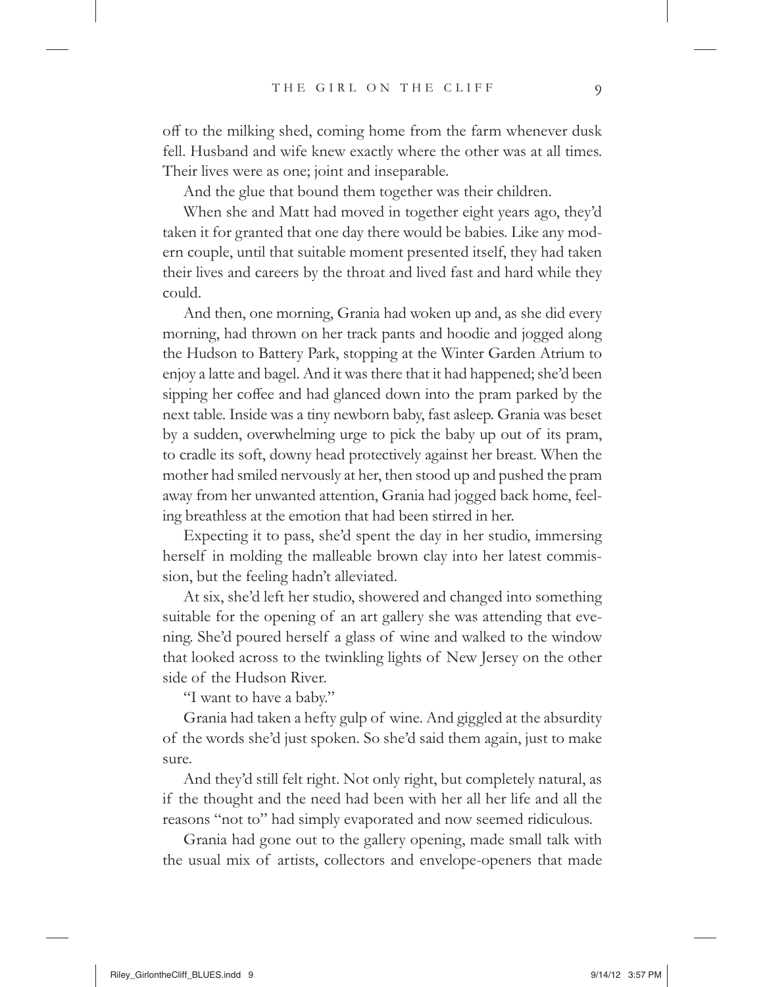off to the milking shed, coming home from the farm whenever dusk fell. Husband and wife knew exactly where the other was at all times. Their lives were as one; joint and inseparable.

And the glue that bound them together was their children.

When she and Matt had moved in together eight years ago, they'd taken it for granted that one day there would be babies. Like any modern couple, until that suitable moment presented itself, they had taken their lives and careers by the throat and lived fast and hard while they could.

And then, one morning, Grania had woken up and, as she did every morning, had thrown on her track pants and hoodie and jogged along the Hudson to Battery Park, stopping at the Winter Garden Atrium to enjoy a latte and bagel. And it was there that it had happened; she'd been sipping her coffee and had glanced down into the pram parked by the next table. Inside was a tiny newborn baby, fast asleep. Grania was beset by a sudden, overwhelming urge to pick the baby up out of its pram, to cradle its soft, downy head protectively against her breast. When the mother had smiled nervously at her, then stood up and pushed the pram away from her unwanted attention, Grania had jogged back home, feeling breathless at the emotion that had been stirred in her.

Expecting it to pass, she'd spent the day in her studio, immersing herself in molding the malleable brown clay into her latest commission, but the feeling hadn't alleviated.

At six, she'd left her studio, showered and changed into something suitable for the opening of an art gallery she was attending that evening. She'd poured herself a glass of wine and walked to the window that looked across to the twinkling lights of New Jersey on the other side of the Hudson River.

"I want to have a baby."

Grania had taken a hefty gulp of wine. And giggled at the absurdity of the words she'd just spoken. So she'd said them again, just to make sure.

And they'd still felt right. Not only right, but completely natural, as if the thought and the need had been with her all her life and all the reasons "not to" had simply evaporated and now seemed ridiculous.

Grania had gone out to the gallery opening, made small talk with the usual mix of artists, collectors and envelope-openers that made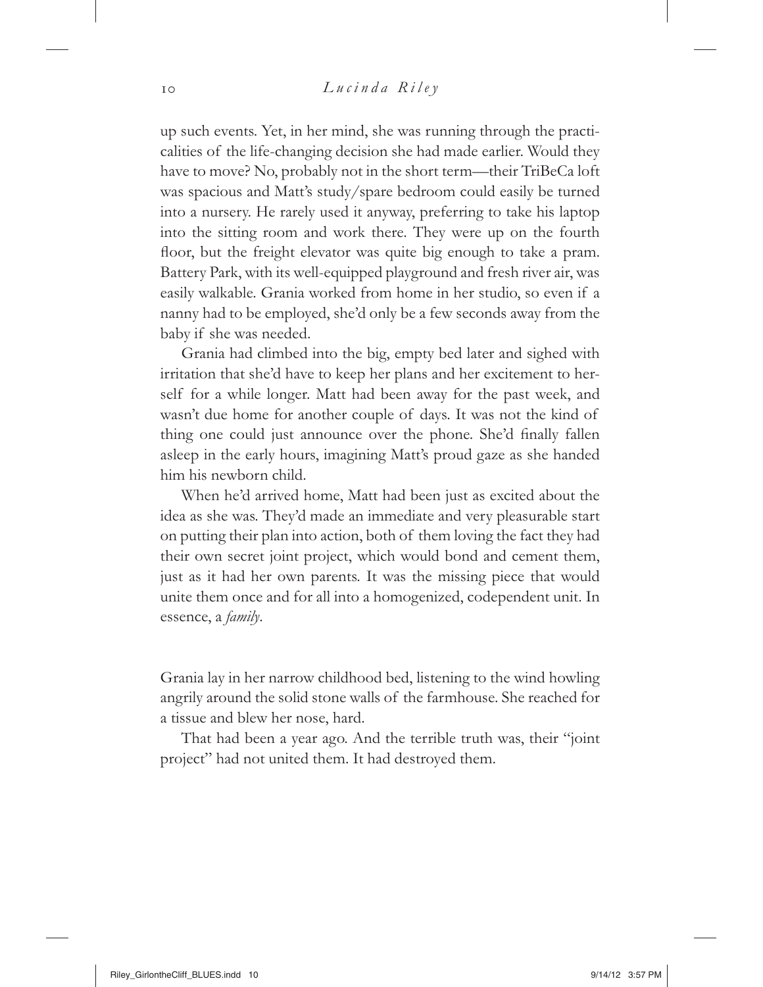#### 10 *L u c i n d a R i l e y*

up such events. Yet, in her mind, she was running through the practicalities of the life-changing decision she had made earlier. Would they have to move? No, probably not in the short term—their TriBeCa loft was spacious and Matt's study/spare bedroom could easily be turned into a nursery. He rarely used it anyway, preferring to take his laptop into the sitting room and work there. They were up on the fourth floor, but the freight elevator was quite big enough to take a pram. Battery Park, with its well-equipped playground and fresh river air, was easily walkable. Grania worked from home in her studio, so even if a nanny had to be employed, she'd only be a few seconds away from the baby if she was needed.

Grania had climbed into the big, empty bed later and sighed with irritation that she'd have to keep her plans and her excitement to herself for a while longer. Matt had been away for the past week, and wasn't due home for another couple of days. It was not the kind of thing one could just announce over the phone. She'd finally fallen asleep in the early hours, imagining Matt's proud gaze as she handed him his newborn child.

When he'd arrived home, Matt had been just as excited about the idea as she was. They'd made an immediate and very pleasurable start on putting their plan into action, both of them loving the fact they had their own secret joint project, which would bond and cement them, just as it had her own parents. It was the missing piece that would unite them once and for all into a homogenized, codependent unit. In essence, a *family*.

Grania lay in her narrow childhood bed, listening to the wind howling angrily around the solid stone walls of the farmhouse. She reached for a tissue and blew her nose, hard.

That had been a year ago. And the terrible truth was, their "joint project" had not united them. It had destroyed them.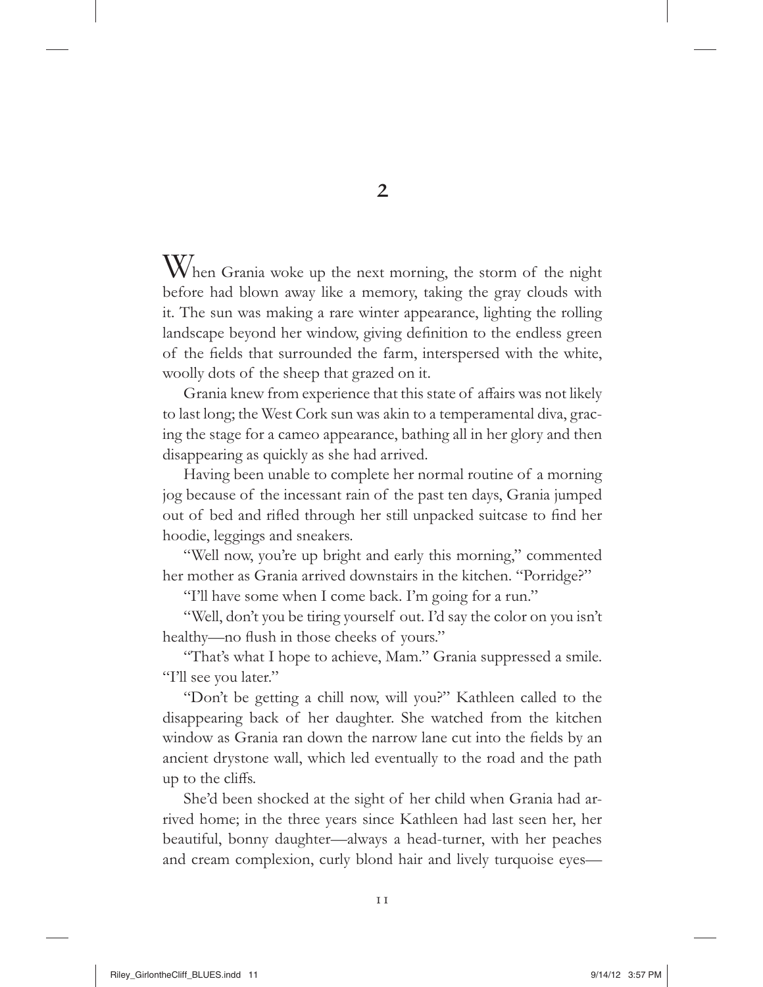When Grania woke up the next morning, the storm of the night before had blown away like a memory, taking the gray clouds with it. The sun was making a rare winter appearance, lighting the rolling landscape beyond her window, giving definition to the endless green of the fields that surrounded the farm, interspersed with the white, woolly dots of the sheep that grazed on it.

Grania knew from experience that this state of affairs was not likely to last long; the West Cork sun was akin to a temperamental diva, gracing the stage for a cameo appearance, bathing all in her glory and then disappearing as quickly as she had arrived.

Having been unable to complete her normal routine of a morning jog because of the incessant rain of the past ten days, Grania jumped out of bed and rifled through her still unpacked suitcase to find her hoodie, leggings and sneakers.

" Well now, you're up bright and early this morning," commented her mother as Grania arrived downstairs in the kitchen. "Porridge?"

"I'll have some when I come back. I'm going for a run."

" Well, don't you be tiring yourself out. I'd say the color on you isn't healthy—no flush in those cheeks of yours."

"That's what I hope to achieve, Mam." Grania suppressed a smile. "I'll see you later."

"Don't be getting a chill now, will you?" Kathleen called to the disappearing back of her daughter. She watched from the kitchen window as Grania ran down the narrow lane cut into the fields by an ancient drystone wall, which led eventually to the road and the path up to the cliffs.

She'd been shocked at the sight of her child when Grania had arrived home; in the three years since Kathleen had last seen her, her beautiful, bonny daughter—always a head-turner, with her peaches and cream complexion, curly blond hair and lively turquoise eyes—

2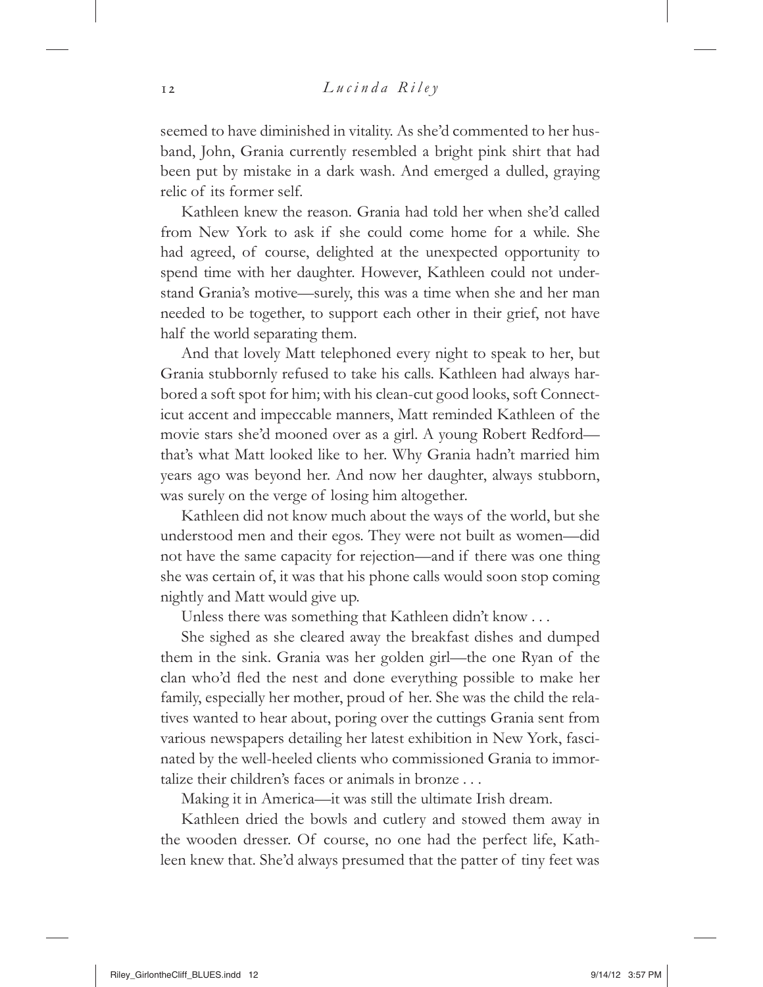seemed to have diminished in vitality. As she'd commented to her husband, John, Grania currently resembled a bright pink shirt that had been put by mistake in a dark wash. And emerged a dulled, graying relic of its former self.

Kathleen knew the reason. Grania had told her when she'd called from New York to ask if she could come home for a while. She had agreed, of course, delighted at the unexpected opportunity to spend time with her daughter. However, Kathleen could not understand Grania's motive—surely, this was a time when she and her man needed to be together, to support each other in their grief, not have half the world separating them.

And that lovely Matt telephoned every night to speak to her, but Grania stubbornly refused to take his calls. Kathleen had always harbored a soft spot for him; with his clean-cut good looks, soft Connecticut accent and impeccable manners, Matt reminded Kathleen of the movie stars she'd mooned over as a girl. A young Robert Redford that's what Matt looked like to her. Why Grania hadn't married him years ago was beyond her. And now her daughter, always stubborn, was surely on the verge of losing him altogether.

Kathleen did not know much about the ways of the world, but she understood men and their egos. They were not built as women—did not have the same capacity for rejection—and if there was one thing she was certain of, it was that his phone calls would soon stop coming nightly and Matt would give up.

Unless there was something that Kathleen didn't know . . .

She sighed as she cleared away the breakfast dishes and dumped them in the sink. Grania was her golden girl—the one Ryan of the clan who'd fled the nest and done everything possible to make her family, especially her mother, proud of her. She was the child the relatives wanted to hear about, poring over the cuttings Grania sent from various newspapers detailing her latest exhibition in New York, fascinated by the well-heeled clients who commissioned Grania to immortalize their children's faces or animals in bronze . . .

Making it in America—it was still the ultimate Irish dream.

Kathleen dried the bowls and cutlery and stowed them away in the wooden dresser. Of course, no one had the perfect life, Kathleen knew that. She'd always presumed that the patter of tiny feet was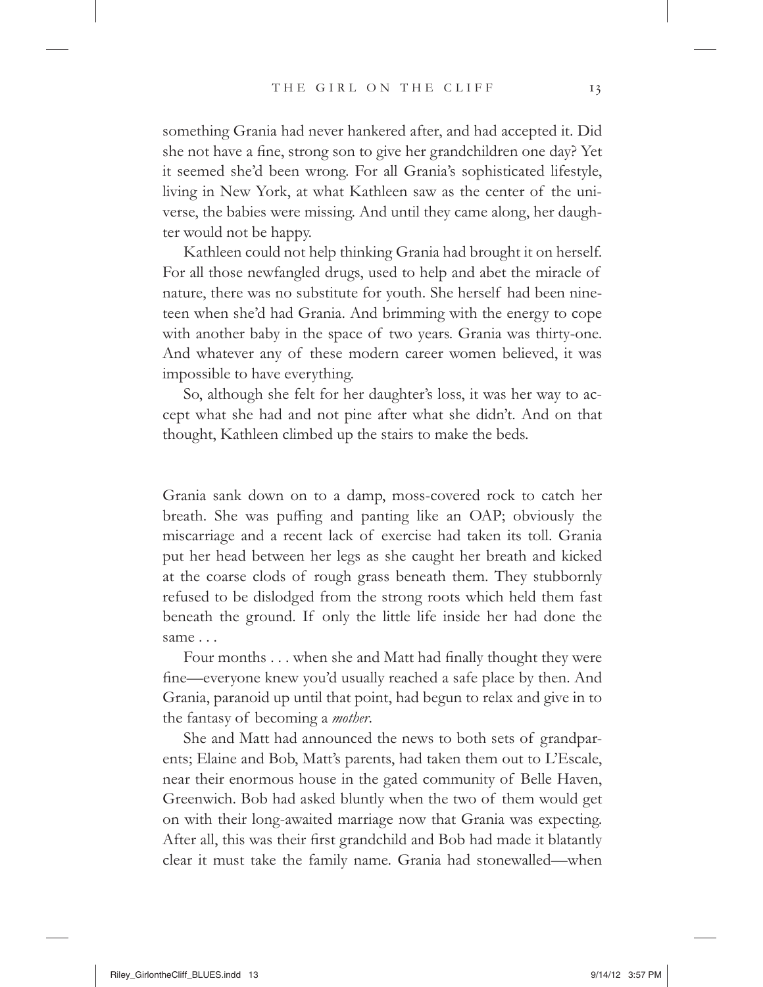something Grania had never hankered after, and had accepted it. Did she not have a fine, strong son to give her grandchildren one day? Yet it seemed she'd been wrong. For all Grania's sophisticated lifestyle, living in New York, at what Kathleen saw as the center of the universe, the babies were missing. And until they came along, her daughter would not be happy.

Kathleen could not help thinking Grania had brought it on herself. For all those newfangled drugs, used to help and abet the miracle of nature, there was no substitute for youth. She herself had been nineteen when she'd had Grania. And brimming with the energy to cope with another baby in the space of two years. Grania was thirty-one. And whatever any of these modern career women believed, it was impossible to have everything.

So, although she felt for her daughter's loss, it was her way to accept what she had and not pine after what she didn't. And on that thought, Kathleen climbed up the stairs to make the beds.

Grania sank down on to a damp, moss-covered rock to catch her breath. She was puffing and panting like an OAP; obviously the miscarriage and a recent lack of exercise had taken its toll. Grania put her head between her legs as she caught her breath and kicked at the coarse clods of rough grass beneath them. They stubbornly refused to be dislodged from the strong roots which held them fast beneath the ground. If only the little life inside her had done the same . . .

Four months . . . when she and Matt had finally thought they were fine—everyone knew you'd usually reached a safe place by then. And Grania, paranoid up until that point, had begun to relax and give in to the fantasy of becoming a *mother*.

She and Matt had announced the news to both sets of grandparents; Elaine and Bob, Matt's parents, had taken them out to L'Escale, near their enormous house in the gated community of Belle Haven, Greenwich. Bob had asked bluntly when the two of them would get on with their long-awaited marriage now that Grania was expecting. After all, this was their first grandchild and Bob had made it blatantly clear it must take the family name. Grania had stonewalled—when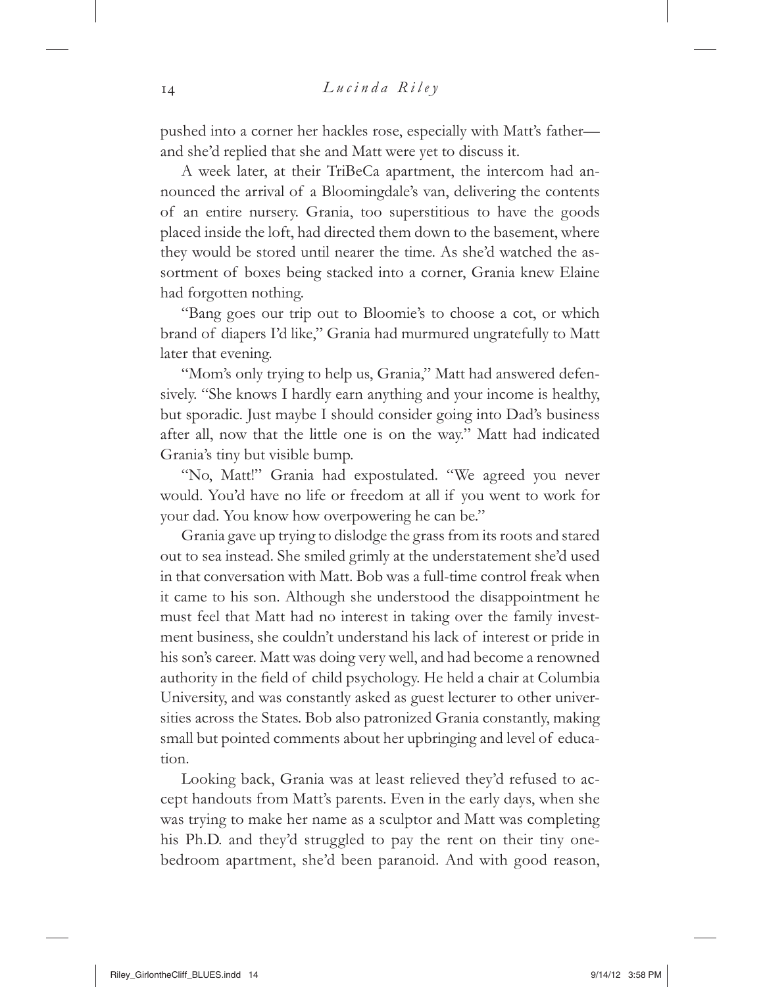pushed into a corner her hackles rose, especially with Matt's father and she'd replied that she and Matt were yet to discuss it.

A week later, at their TriBeCa apartment, the intercom had announced the arrival of a Bloomingdale's van, delivering the contents of an entire nursery. Grania, too superstitious to have the goods placed inside the loft, had directed them down to the basement, where they would be stored until nearer the time. As she'd watched the assortment of boxes being stacked into a corner, Grania knew Elaine had forgotten nothing.

"Bang goes our trip out to Bloomie's to choose a cot, or which brand of diapers I'd like," Grania had murmured ungratefully to Matt later that evening.

"Mom's only trying to help us, Grania," Matt had answered defensively. "She knows I hardly earn anything and your income is healthy, but sporadic. Just maybe I should consider going into Dad's business after all, now that the little one is on the way." Matt had indicated Grania's tiny but visible bump.

"No, Matt!" Grania had expostulated. " We agreed you never would. You'd have no life or freedom at all if you went to work for your dad. You know how overpowering he can be."

Grania gave up trying to dislodge the grass from its roots and stared out to sea instead. She smiled grimly at the understatement she'd used in that conversation with Matt. Bob was a full-time control freak when it came to his son. Although she understood the disappointment he must feel that Matt had no interest in taking over the family investment business, she couldn't understand his lack of interest or pride in his son's career. Matt was doing very well, and had become a renowned authority in the field of child psychology. He held a chair at Columbia University, and was constantly asked as guest lecturer to other universities across the States. Bob also patronized Grania constantly, making small but pointed comments about her upbringing and level of education.

Looking back, Grania was at least relieved they'd refused to accept handouts from Matt's parents. Even in the early days, when she was trying to make her name as a sculptor and Matt was completing his Ph.D. and they'd struggled to pay the rent on their tiny onebedroom apartment, she'd been paranoid. And with good reason,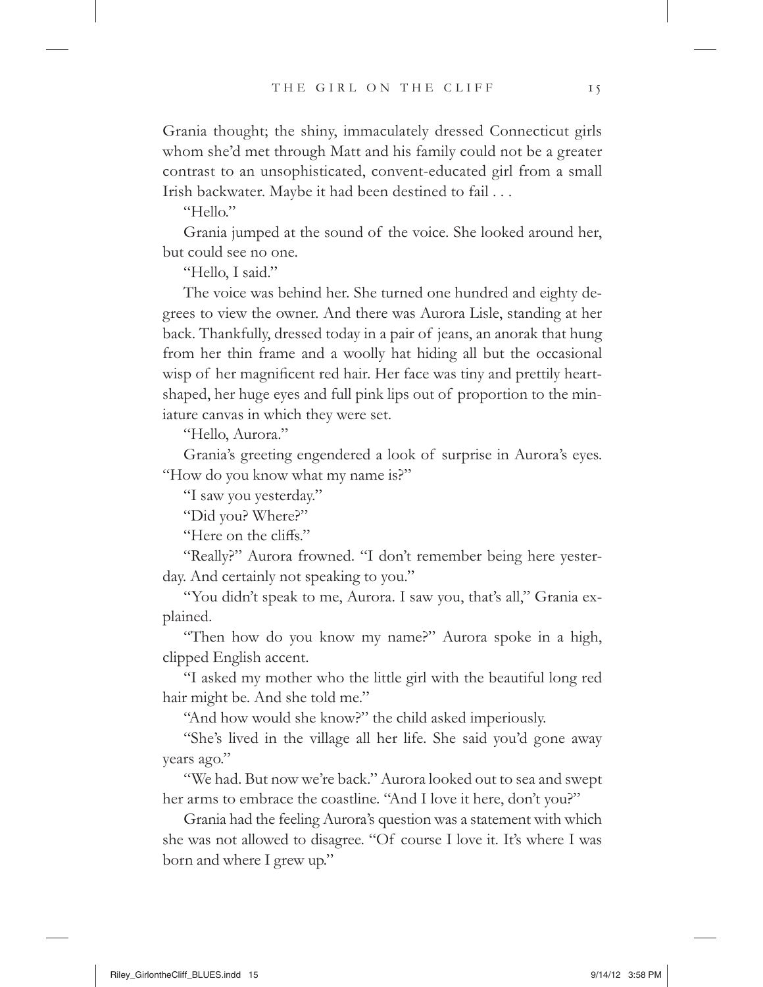Grania thought; the shiny, immaculately dressed Connecticut girls whom she'd met through Matt and his family could not be a greater contrast to an unsophisticated, convent-educated girl from a small Irish backwater. Maybe it had been destined to fail . . .

"Hello."

Grania jumped at the sound of the voice. She looked around her, but could see no one.

"Hello, I said."

The voice was behind her. She turned one hundred and eighty degrees to view the owner. And there was Aurora Lisle, standing at her back. Thankfully, dressed today in a pair of jeans, an anorak that hung from her thin frame and a woolly hat hiding all but the occasional wisp of her magnificent red hair. Her face was tiny and prettily heartshaped, her huge eyes and full pink lips out of proportion to the miniature canvas in which they were set.

"Hello, Aurora."

Grania's greeting engendered a look of surprise in Aurora's eyes. "How do you know what my name is?"

"I saw you yesterday."

"Did you? Where?"

"Here on the cliffs."

"Really?" Aurora frowned. "I don't remember being here yesterday. And certainly not speaking to you."

" You didn't speak to me, Aurora. I saw you, that's all," Grania explained.

"Then how do you know my name?" Aurora spoke in a high, clipped English accent.

"I asked my mother who the little girl with the beautiful long red hair might be. And she told me."

"And how would she know?" the child asked imperiously.

"She's lived in the village all her life. She said you'd gone away years ago."

" We had. But now we're back." Aurora looked out to sea and swept her arms to embrace the coastline. "And I love it here, don't you?"

Grania had the feeling Aurora's question was a statement with which she was not allowed to disagree. "Of course I love it. It's where I was born and where I grew up."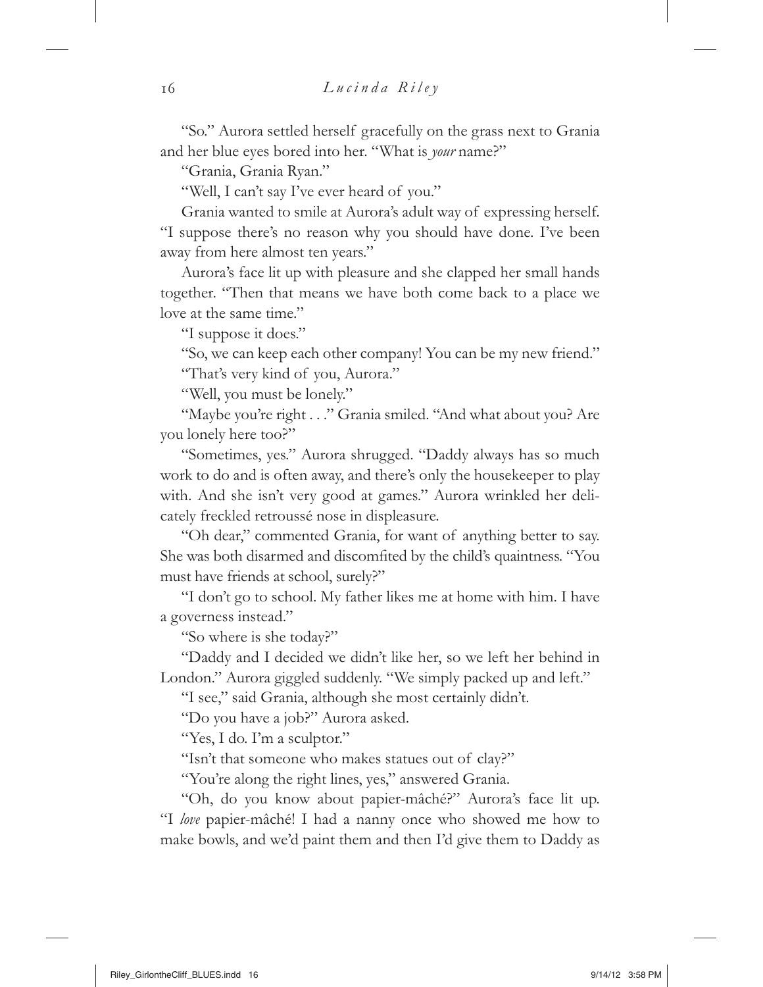"So." Aurora settled herself gracefully on the grass next to Grania and her blue eyes bored into her. " What is *your* name?"

"Grania, Grania Ryan."

" Well, I can't say I've ever heard of you."

Grania wanted to smile at Aurora's adult way of expressing herself. "I suppose there's no reason why you should have done. I've been away from here almost ten years."

Aurora's face lit up with pleasure and she clapped her small hands together. "Then that means we have both come back to a place we love at the same time."

"I suppose it does."

"So, we can keep each other company! You can be my new friend." "That's very kind of you, Aurora."

" Well, you must be lonely."

"Maybe you're right . . ." Grania smiled. "And what about you? Are you lonely here too?"

"Sometimes, yes." Aurora shrugged. "Daddy always has so much work to do and is often away, and there's only the housekeeper to play with. And she isn't very good at games." Aurora wrinkled her delicately freckled retroussé nose in displeasure.

"Oh dear," commented Grania, for want of anything better to say. She was both disarmed and discomfited by the child's quaintness. " You must have friends at school, surely?"

"I don't go to school. My father likes me at home with him. I have a governess instead."

"So where is she today?"

"Daddy and I decided we didn't like her, so we left her behind in London." Aurora giggled suddenly. "We simply packed up and left."

"I see," said Grania, although she most certainly didn't.

"Do you have a job?" Aurora asked.

"Yes, I do. I'm a sculptor."

"Isn't that someone who makes statues out of clay?"

" You're along the right lines, yes," answered Grania.

"Oh, do you know about papier-mâché?" Aurora's face lit up. "I *love* papier-mâché! I had a nanny once who showed me how to make bowls, and we'd paint them and then I'd give them to Daddy as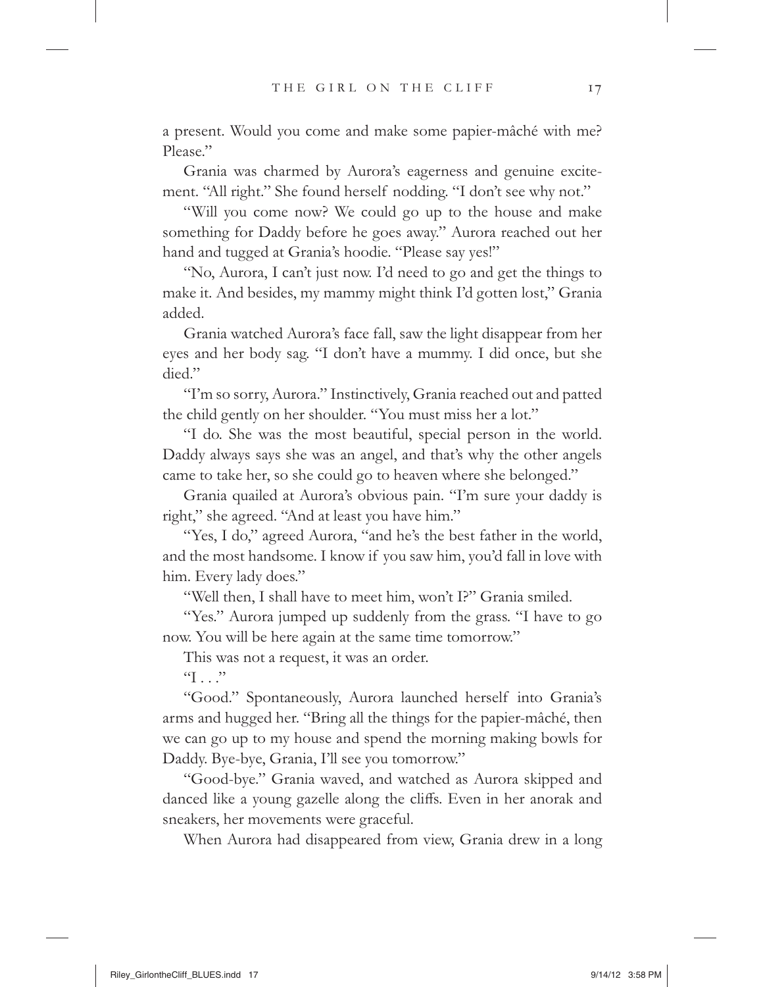a present. Would you come and make some papier-mâché with me? Please."

Grania was charmed by Aurora's eagerness and genuine excitement. "All right." She found herself nodding. "I don't see why not."

" Will you come now? We could go up to the house and make something for Daddy before he goes away." Aurora reached out her hand and tugged at Grania's hoodie. "Please say yes!"

"No, Aurora, I can't just now. I'd need to go and get the things to make it. And besides, my mammy might think I'd gotten lost," Grania added.

Grania watched Aurora's face fall, saw the light disappear from her eyes and her body sag. "I don't have a mummy. I did once, but she died."

"I'm so sorry, Aurora." Instinctively, Grania reached out and patted the child gently on her shoulder. " You must miss her a lot."

"I do. She was the most beautiful, special person in the world. Daddy always says she was an angel, and that's why the other angels came to take her, so she could go to heaven where she belonged."

Grania quailed at Aurora's obvious pain. "I'm sure your daddy is right," she agreed. "And at least you have him."

" Yes, I do," agreed Aurora, "and he's the best father in the world, and the most handsome. I know if you saw him, you'd fall in love with him. Every lady does."

"Well then, I shall have to meet him, won't I?" Grania smiled.

"Yes." Aurora jumped up suddenly from the grass. "I have to go now. You will be here again at the same time tomorrow."

This was not a request, it was an order.

 $T$  . . . "

"Good." Spontaneously, Aurora launched herself into Grania's arms and hugged her. "Bring all the things for the papier-mâché, then we can go up to my house and spend the morning making bowls for Daddy. Bye-bye, Grania, I'll see you tomorrow."

"Good-bye." Grania waved, and watched as Aurora skipped and danced like a young gazelle along the cliffs. Even in her anorak and sneakers, her movements were graceful.

When Aurora had disappeared from view, Grania drew in a long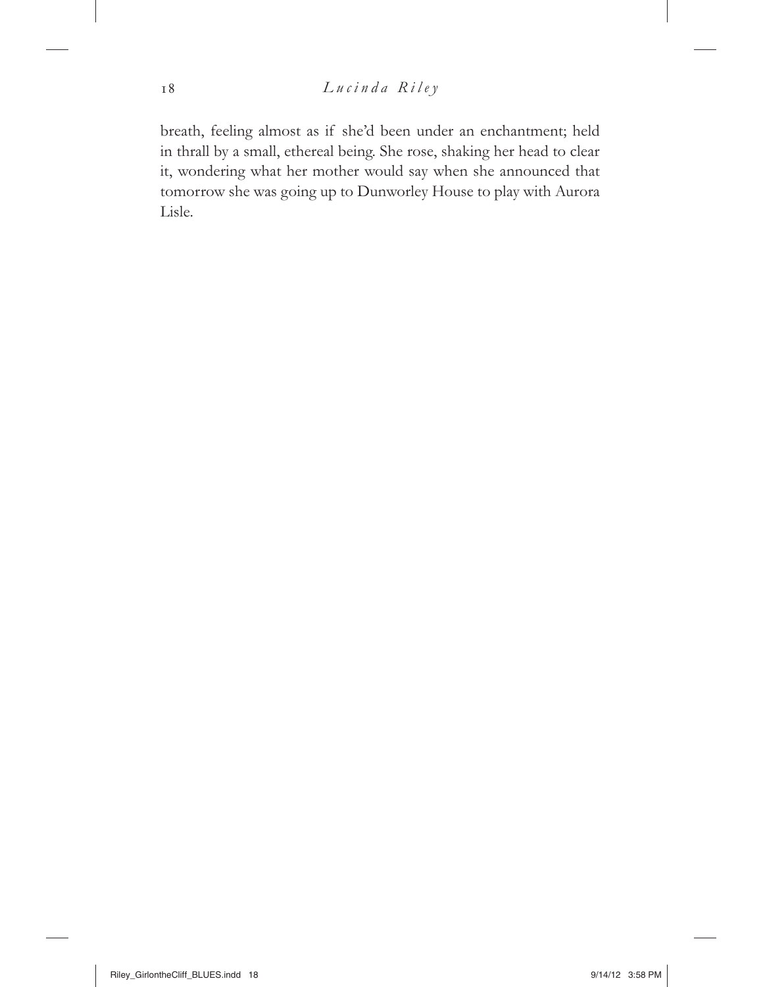#### 18 *L u c i n d a R i l e y*

breath, feeling almost as if she'd been under an enchantment; held in thrall by a small, ethereal being. She rose, shaking her head to clear it, wondering what her mother would say when she announced that tomorrow she was going up to Dunworley House to play with Aurora Lisle.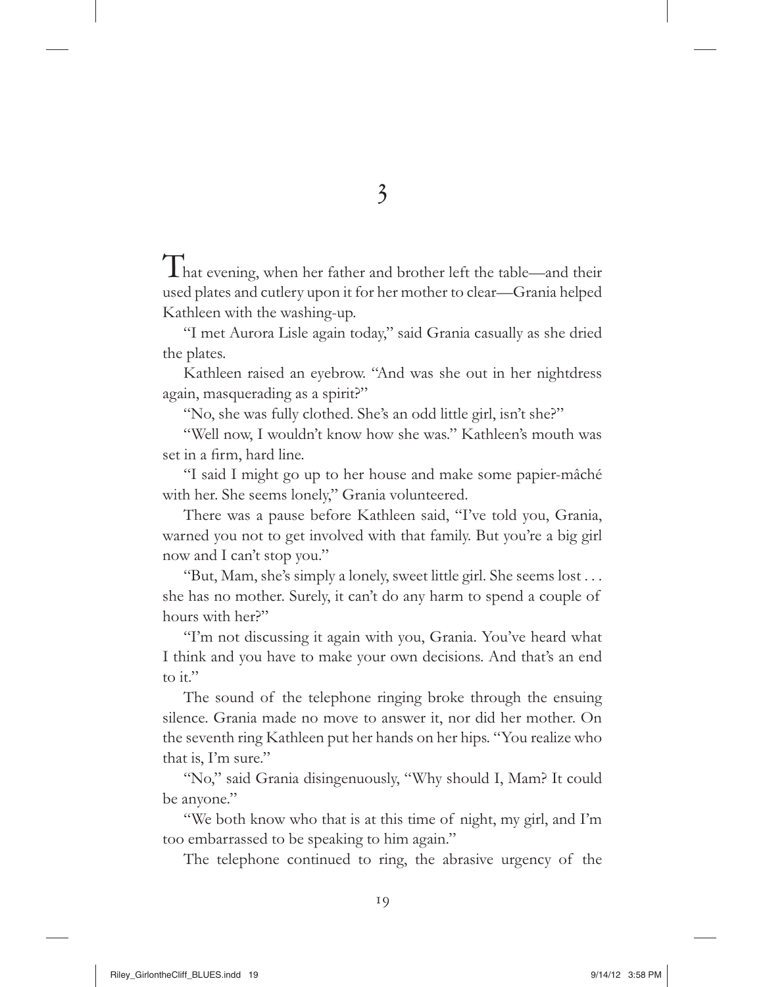That evening, when her father and brother left the table—and their used plates and cutlery upon it for her mother to clear—Grania helped Kathleen with the washing-up.

3

"I met Aurora Lisle again today," said Grania casually as she dried the plates.

Kathleen raised an eyebrow. "And was she out in her nightdress again, masquerading as a spirit?"

"No, she was fully clothed. She's an odd little girl, isn't she?"

" Well now, I wouldn't know how she was." Kathleen's mouth was set in a firm, hard line.

"I said I might go up to her house and make some papier-mâché with her. She seems lonely," Grania volunteered.

There was a pause before Kathleen said, "I've told you, Grania, warned you not to get involved with that family. But you're a big girl now and I can't stop you."

"But, Mam, she's simply a lonely, sweet little girl. She seems lost . . . she has no mother. Surely, it can't do any harm to spend a couple of hours with her?"

"I'm not discussing it again with you, Grania. You've heard what I think and you have to make your own decisions. And that's an end to it."

The sound of the telephone ringing broke through the ensuing silence. Grania made no move to answer it, nor did her mother. On the seventh ring Kathleen put her hands on her hips. " You realize who that is, I'm sure."

"No," said Grania disingenuously, " Why should I, Mam? It could be anyone."

" We both know who that is at this time of night, my girl, and I'm too embarrassed to be speaking to him again."

The telephone continued to ring, the abrasive urgency of the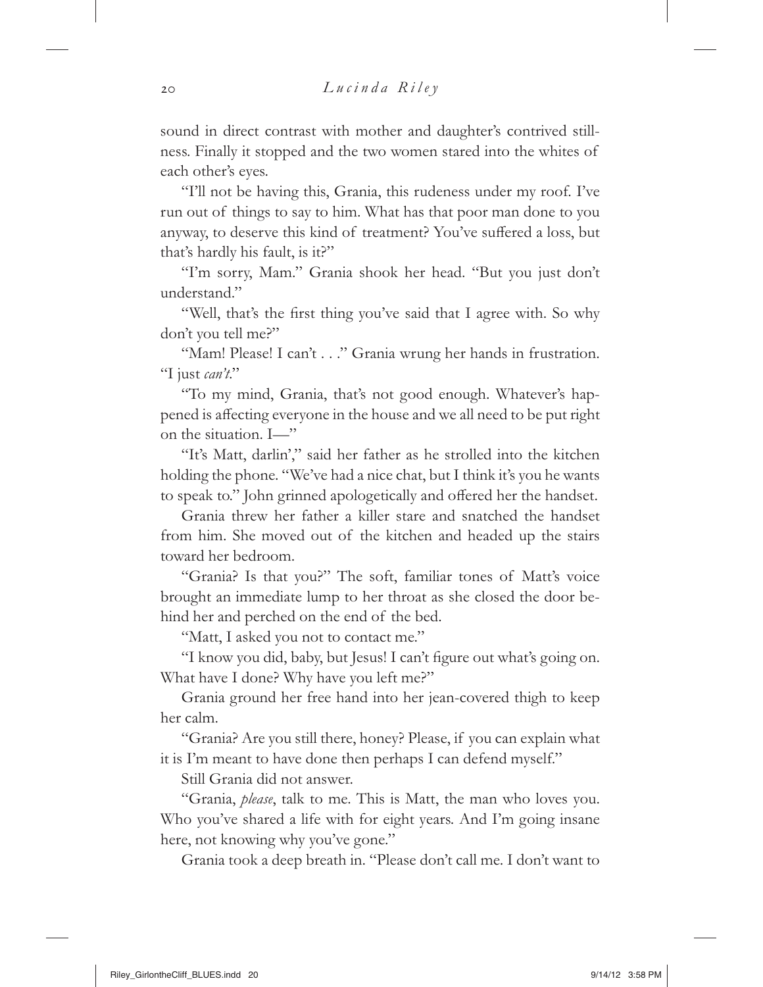sound in direct contrast with mother and daughter's contrived stillness. Finally it stopped and the two women stared into the whites of each other's eyes.

"I'll not be having this, Grania, this rudeness under my roof. I've run out of things to say to him. What has that poor man done to you anyway, to deserve this kind of treatment? You've suffered a loss, but that's hardly his fault, is it?"

"I'm sorry, Mam." Grania shook her head. "But you just don't understand."

" Well, that's the first thing you've said that I agree with. So why don't you tell me?"

"Mam! Please! I can't . . ." Grania wrung her hands in frustration. "I just *can't*."

"To my mind, Grania, that's not good enough. Whatever's happened is affecting everyone in the house and we all need to be put right on the situation. I—"

"It's Matt, darlin'," said her father as he strolled into the kitchen holding the phone. " We've had a nice chat, but I think it's you he wants to speak to." John grinned apologetically and offered her the handset.

Grania threw her father a killer stare and snatched the handset from him. She moved out of the kitchen and headed up the stairs toward her bedroom.

"Grania? Is that you?" The soft, familiar tones of Matt's voice brought an immediate lump to her throat as she closed the door behind her and perched on the end of the bed.

"Matt, I asked you not to contact me."

"I know you did, baby, but Jesus! I can't figure out what's going on. What have I done? Why have you left me?"

Grania ground her free hand into her jean-covered thigh to keep her calm.

"Grania? Are you still there, honey? Please, if you can explain what it is I'm meant to have done then perhaps I can defend myself."

Still Grania did not answer.

"Grania, *please*, talk to me. This is Matt, the man who loves you. Who you've shared a life with for eight years. And I'm going insane here, not knowing why you've gone."

Grania took a deep breath in. "Please don't call me. I don't want to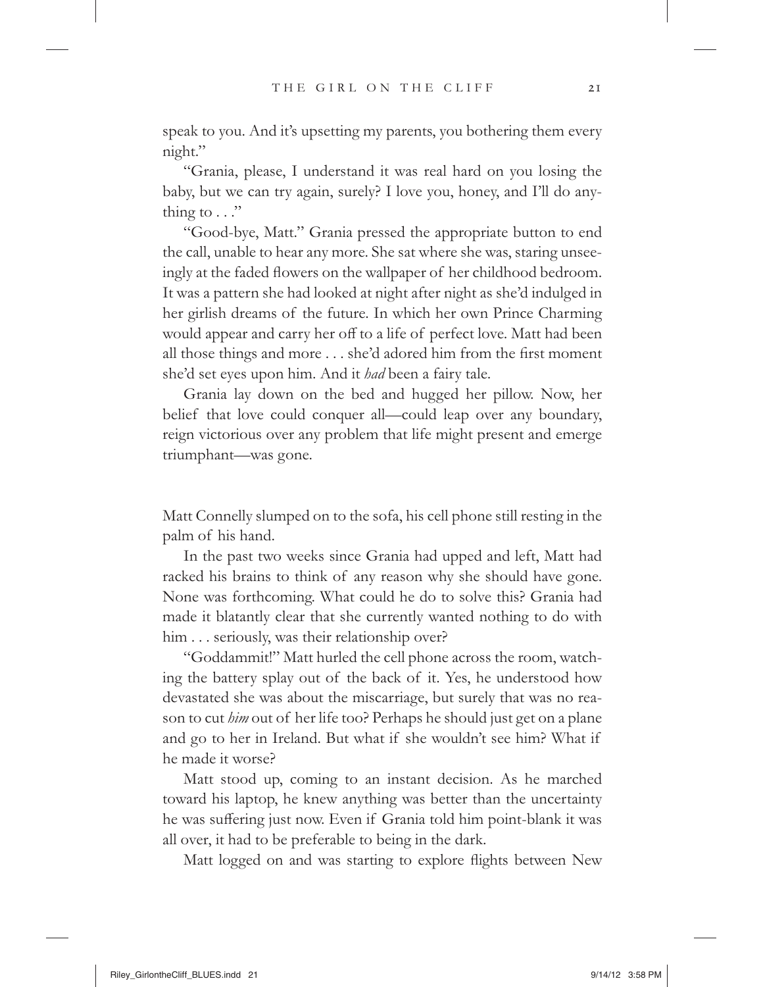speak to you. And it's upsetting my parents, you bothering them every night."

"Grania, please, I understand it was real hard on you losing the baby, but we can try again, surely? I love you, honey, and I'll do anything to  $\ldots$ "

"Good-bye, Matt." Grania pressed the appropriate button to end the call, unable to hear any more. She sat where she was, staring unseeingly at the faded flowers on the wallpaper of her childhood bedroom. It was a pattern she had looked at night after night as she'd indulged in her girlish dreams of the future. In which her own Prince Charming would appear and carry her off to a life of perfect love. Matt had been all those things and more . . . she'd adored him from the first moment she'd set eyes upon him. And it *had* been a fairy tale.

Grania lay down on the bed and hugged her pillow. Now, her belief that love could conquer all—could leap over any boundary, reign victorious over any problem that life might present and emerge triumphant—was gone.

Matt Connelly slumped on to the sofa, his cell phone still resting in the palm of his hand.

In the past two weeks since Grania had upped and left, Matt had racked his brains to think of any reason why she should have gone. None was forthcoming. What could he do to solve this? Grania had made it blatantly clear that she currently wanted nothing to do with him . . . seriously, was their relationship over?

"Goddammit!" Matt hurled the cell phone across the room, watching the battery splay out of the back of it. Yes, he understood how devastated she was about the miscarriage, but surely that was no reason to cut *him* out of her life too? Perhaps he should just get on a plane and go to her in Ireland. But what if she wouldn't see him? What if he made it worse?

Matt stood up, coming to an instant decision. As he marched toward his laptop, he knew anything was better than the uncertainty he was suffering just now. Even if Grania told him point-blank it was all over, it had to be preferable to being in the dark.

Matt logged on and was starting to explore flights between New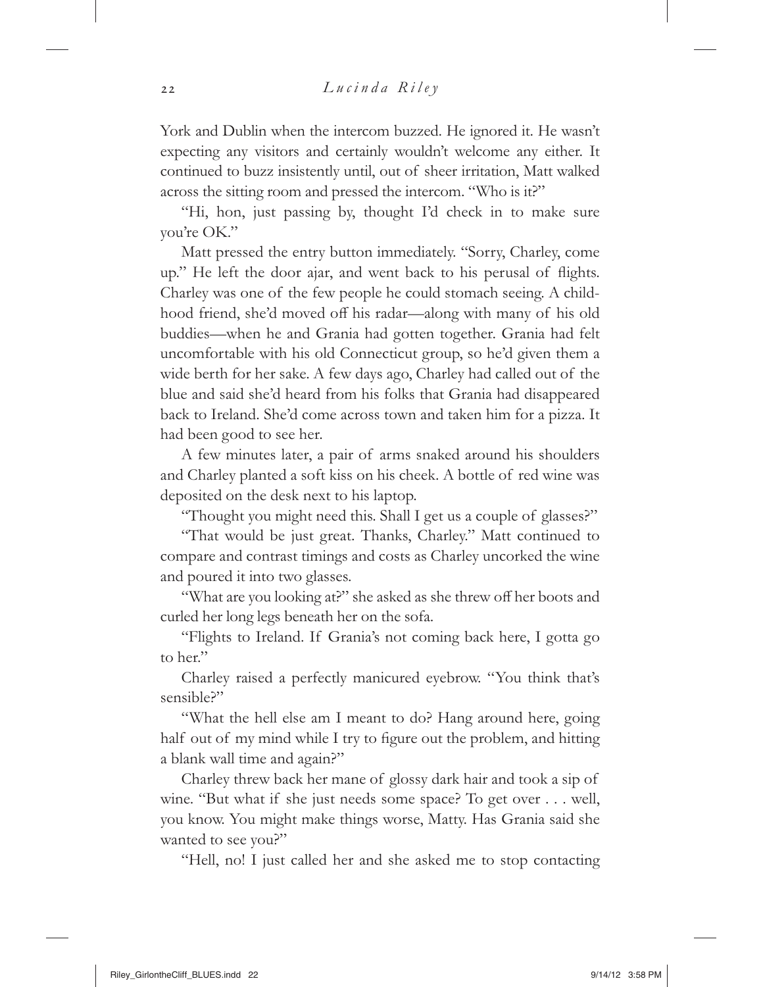York and Dublin when the intercom buzzed. He ignored it. He wasn't expecting any visitors and certainly wouldn't welcome any either. It continued to buzz insistently until, out of sheer irritation, Matt walked across the sitting room and pressed the intercom. " Who is it?"

"Hi, hon, just passing by, thought I'd check in to make sure you're OK."

Matt pressed the entry button immediately. "Sorry, Charley, come up." He left the door ajar, and went back to his perusal of flights. Charley was one of the few people he could stomach seeing. A childhood friend, she'd moved off his radar—along with many of his old buddies—when he and Grania had gotten together. Grania had felt uncomfortable with his old Connecticut group, so he'd given them a wide berth for her sake. A few days ago, Charley had called out of the blue and said she'd heard from his folks that Grania had disappeared back to Ireland. She'd come across town and taken him for a pizza. It had been good to see her.

A few minutes later, a pair of arms snaked around his shoulders and Charley planted a soft kiss on his cheek. A bottle of red wine was deposited on the desk next to his laptop.

"Thought you might need this. Shall I get us a couple of glasses?"

"That would be just great. Thanks, Charley." Matt continued to compare and contrast timings and costs as Charley uncorked the wine and poured it into two glasses.

"What are you looking at?" she asked as she threw off her boots and curled her long legs beneath her on the sofa.

"Flights to Ireland. If Grania's not coming back here, I gotta go to her."

Charley raised a perfectly manicured eyebrow. " You think that's sensible?"

"What the hell else am I meant to do? Hang around here, going half out of my mind while I try to figure out the problem, and hitting a blank wall time and again?"

Charley threw back her mane of glossy dark hair and took a sip of wine. "But what if she just needs some space? To get over . . . well, you know. You might make things worse, Matty. Has Grania said she wanted to see you?"

"Hell, no! I just called her and she asked me to stop contacting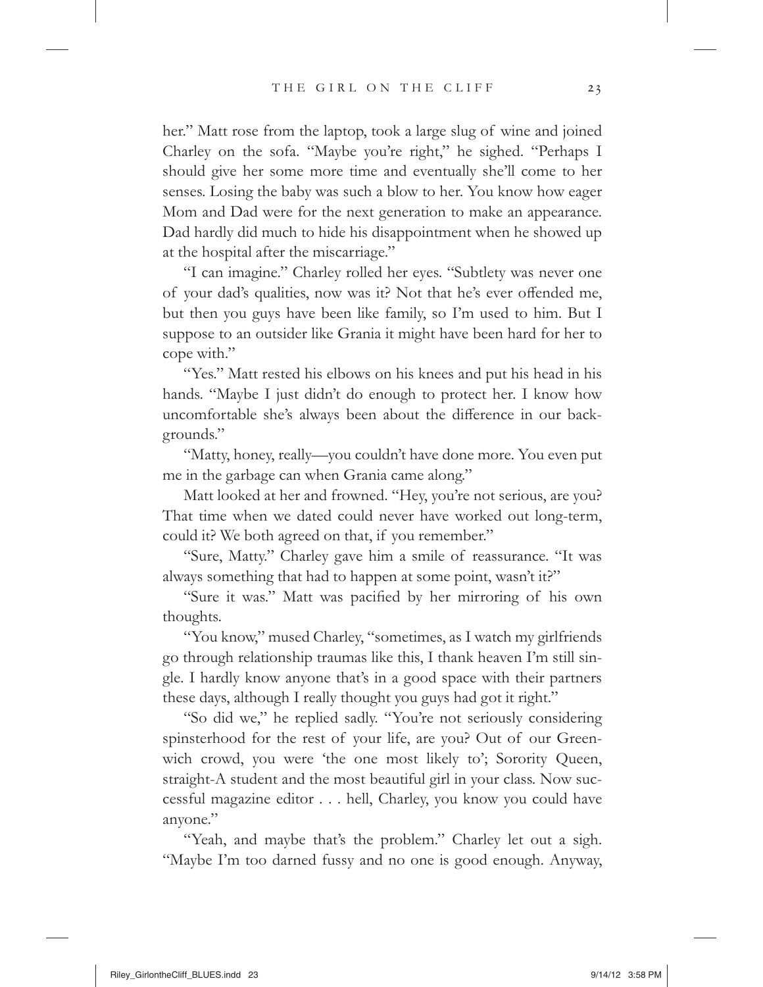her." Matt rose from the laptop, took a large slug of wine and joined Charley on the sofa. "Maybe you're right," he sighed. "Perhaps I should give her some more time and eventually she'll come to her senses. Losing the baby was such a blow to her. You know how eager Mom and Dad were for the next generation to make an appearance. Dad hardly did much to hide his disappointment when he showed up at the hospital after the miscarriage."

"I can imagine." Charley rolled her eyes. "Subtlety was never one of your dad's qualities, now was it? Not that he's ever offended me, but then you guys have been like family, so I'm used to him. But I suppose to an outsider like Grania it might have been hard for her to cope with."

"Yes." Matt rested his elbows on his knees and put his head in his hands. "Maybe I just didn't do enough to protect her. I know how uncomfortable she's always been about the difference in our backgrounds."

"Matty, honey, really—you couldn't have done more. You even put me in the garbage can when Grania came along."

Matt looked at her and frowned. "Hey, you're not serious, are you? That time when we dated could never have worked out long-term, could it? We both agreed on that, if you remember."

"Sure, Matty." Charley gave him a smile of reassurance. "It was always something that had to happen at some point, wasn't it?"

"Sure it was." Matt was pacified by her mirroring of his own thoughts.

" You know," mused Charley, "sometimes, as I watch my girlfriends go through relationship traumas like this, I thank heaven I'm still single. I hardly know anyone that's in a good space with their partners these days, although I really thought you guys had got it right."

"So did we," he replied sadly. " You're not seriously considering spinsterhood for the rest of your life, are you? Out of our Greenwich crowd, you were 'the one most likely to'; Sorority Queen, straight-A student and the most beautiful girl in your class. Now successful magazine editor . . . hell, Charley, you know you could have anyone."

"Yeah, and maybe that's the problem." Charley let out a sigh. "Maybe I'm too darned fussy and no one is good enough. Anyway,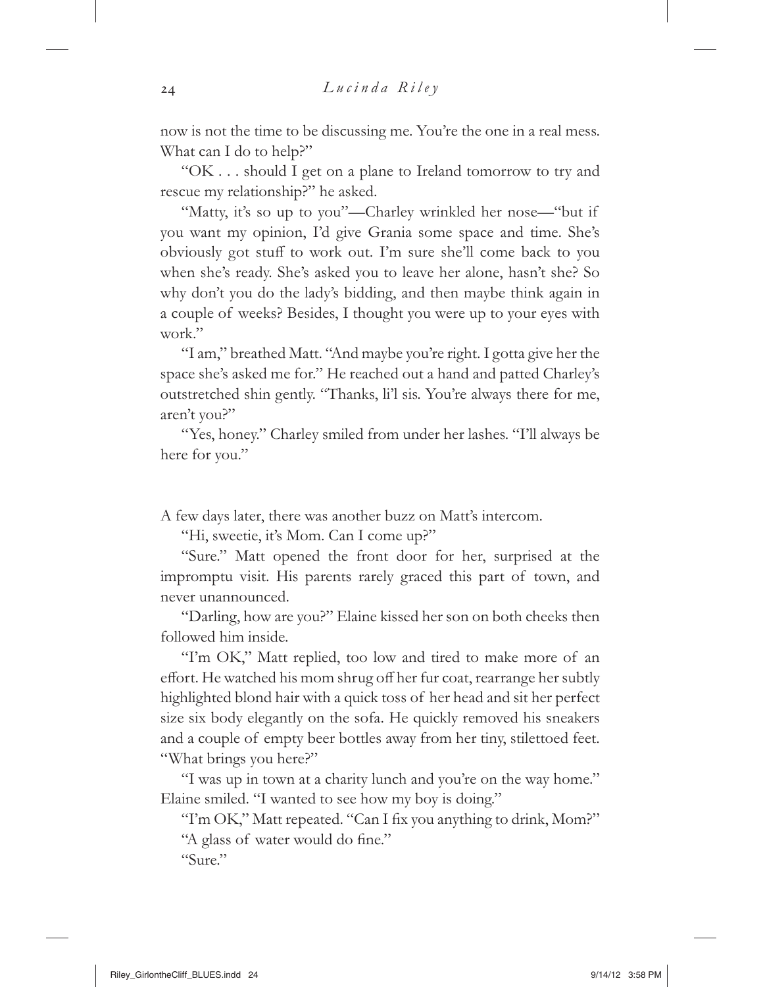now is not the time to be discussing me. You're the one in a real mess. What can I do to help?"

"OK . . . should I get on a plane to Ireland tomorrow to try and rescue my relationship?" he asked.

"Matty, it's so up to you"—Charley wrinkled her nose—"but if you want my opinion, I'd give Grania some space and time. She's obviously got stuff to work out. I'm sure she'll come back to you when she's ready. She's asked you to leave her alone, hasn't she? So why don't you do the lady's bidding, and then maybe think again in a couple of weeks? Besides, I thought you were up to your eyes with work."

"I am," breathed Matt. "And maybe you're right. I gotta give her the space she's asked me for." He reached out a hand and patted Charley's outstretched shin gently. "Thanks, li'l sis. You're always there for me, aren't you?"

" Yes, honey." Charley smiled from under her lashes. "I'll always be here for you."

A few days later, there was another buzz on Matt's intercom.

"Hi, sweetie, it's Mom. Can I come up?"

"Sure." Matt opened the front door for her, surprised at the impromptu visit. His parents rarely graced this part of town, and never unannounced.

"Darling, how are you?" Elaine kissed her son on both cheeks then followed him inside.

"I'm OK," Matt replied, too low and tired to make more of an effort. He watched his mom shrug off her fur coat, rearrange her subtly highlighted blond hair with a quick toss of her head and sit her perfect size six body elegantly on the sofa. He quickly removed his sneakers and a couple of empty beer bottles away from her tiny, stilettoed feet. "What brings you here?"

"I was up in town at a charity lunch and you're on the way home." Elaine smiled. "I wanted to see how my boy is doing."

"I'm OK," Matt repeated. "Can I fix you anything to drink, Mom?"

"A glass of water would do fine."

"Sure."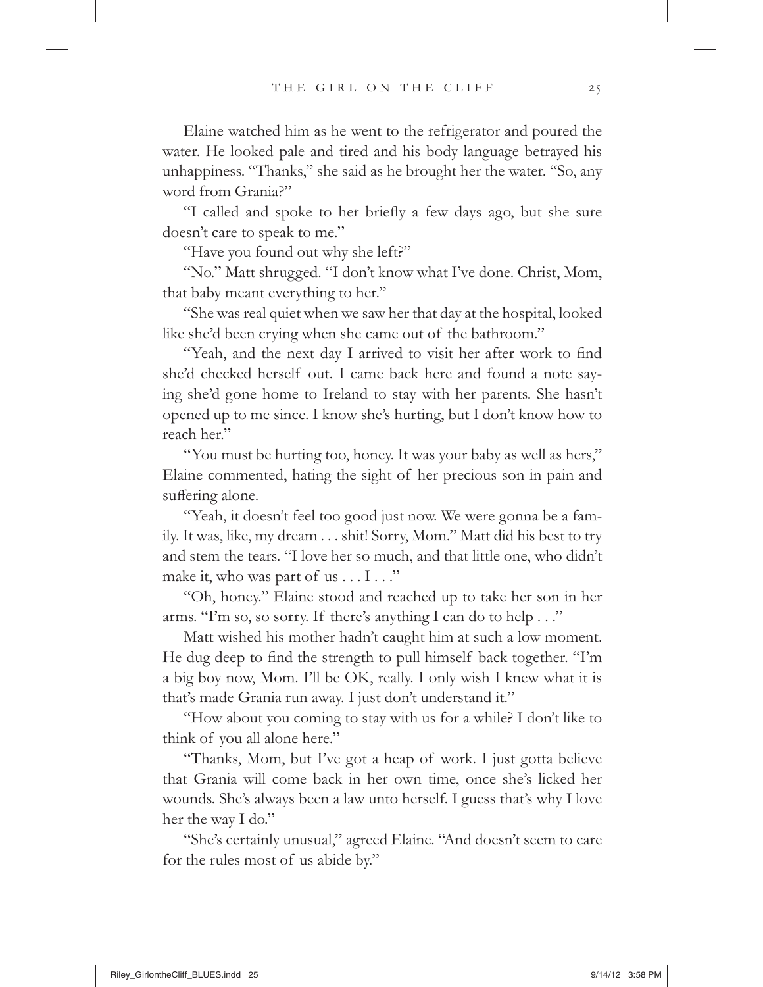Elaine watched him as he went to the refrigerator and poured the water. He looked pale and tired and his body language betrayed his unhappiness. "Thanks," she said as he brought her the water. "So, any word from Grania?"

"I called and spoke to her briefly a few days ago, but she sure doesn't care to speak to me."

"Have you found out why she left?"

"No." Matt shrugged. "I don't know what I've done. Christ, Mom, that baby meant everything to her."

"She was real quiet when we saw her that day at the hospital, looked like she'd been crying when she came out of the bathroom."

" Yeah, and the next day I arrived to visit her after work to find she'd checked herself out. I came back here and found a note saying she'd gone home to Ireland to stay with her parents. She hasn't opened up to me since. I know she's hurting, but I don't know how to reach her."

" You must be hurting too, honey. It was your baby as well as hers," Elaine commented, hating the sight of her precious son in pain and suffering alone.

" Yeah, it doesn't feel too good just now. We were gonna be a family. It was, like, my dream . . . shit! Sorry, Mom." Matt did his best to try and stem the tears. "I love her so much, and that little one, who didn't make it, who was part of us  $\dots$  I  $\dots$ "

"Oh, honey." Elaine stood and reached up to take her son in her arms. "I'm so, so sorry. If there's anything I can do to help . . ."

Matt wished his mother hadn't caught him at such a low moment. He dug deep to find the strength to pull himself back together. "I'm a big boy now, Mom. I'll be OK, really. I only wish I knew what it is that's made Grania run away. I just don't understand it."

"How about you coming to stay with us for a while? I don't like to think of you all alone here."

"Thanks, Mom, but I've got a heap of work. I just gotta believe that Grania will come back in her own time, once she's licked her wounds. She's always been a law unto herself. I guess that's why I love her the way I do."

"She's certainly unusual," agreed Elaine. "And doesn't seem to care for the rules most of us abide by."